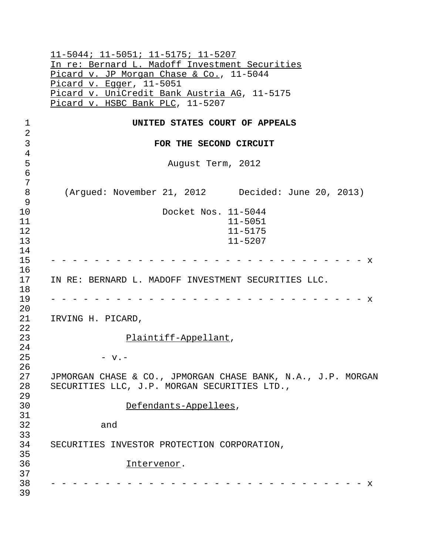| In re: Bernard L. Madoff Investment Securities |                        |                                                              |
|------------------------------------------------|------------------------|--------------------------------------------------------------|
|                                                |                        |                                                              |
| Picard v. JP Morgan Chase & Co., 11-5044       |                        |                                                              |
| Picard v. Egger, 11-5051                       |                        |                                                              |
| Picard v. UniCredit Bank Austria AG, 11-5175   |                        |                                                              |
| Picard v. HSBC Bank PLC, 11-5207               |                        |                                                              |
|                                                |                        | UNITED STATES COURT OF APPEALS                               |
|                                                | FOR THE SECOND CIRCUIT |                                                              |
|                                                | August Term, 2012      |                                                              |
|                                                |                        | (Argued: November 21, 2012 Decided: June 20, 2013)           |
|                                                | Docket Nos. 11-5044    |                                                              |
|                                                |                        | $11 - 5051$                                                  |
|                                                |                        | $11 - 5175$                                                  |
|                                                |                        | $11 - 5207$                                                  |
|                                                |                        |                                                              |
| IRVING H. PICARD,                              |                        |                                                              |
|                                                |                        |                                                              |
|                                                | Plaintiff-Appellant,   |                                                              |
| $-$ v.-                                        |                        |                                                              |
| SECURITIES LLC, J.P. MORGAN SECURITIES LTD.,   |                        |                                                              |
|                                                | Defendants-Appellees,  |                                                              |
| and                                            |                        |                                                              |
| SECURITIES INVESTOR PROTECTION CORPORATION,    |                        | JPMORGAN CHASE & CO., JPMORGAN CHASE BANK, N.A., J.P. MORGAN |
|                                                | Intervenor.            |                                                              |
|                                                |                        |                                                              |
|                                                |                        |                                                              |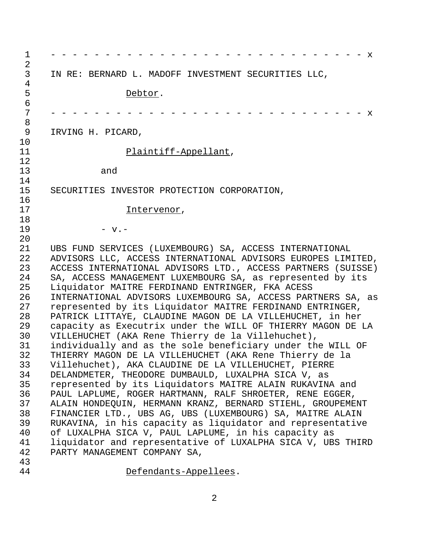| 1                   | x                                                                                                                       |
|---------------------|-------------------------------------------------------------------------------------------------------------------------|
| $\overline{2}$<br>3 | IN RE: BERNARD L. MADOFF INVESTMENT SECURITIES LLC,                                                                     |
| $\overline{4}$      |                                                                                                                         |
| 5                   | Debtor.                                                                                                                 |
| $\epsilon$          |                                                                                                                         |
| 7                   | X                                                                                                                       |
| 8<br>9              | IRVING H. PICARD,                                                                                                       |
| 10                  |                                                                                                                         |
| 11                  | Plaintiff-Appellant,                                                                                                    |
| 12                  |                                                                                                                         |
| 13                  | and                                                                                                                     |
| 14                  |                                                                                                                         |
| 15                  | SECURITIES INVESTOR PROTECTION CORPORATION,                                                                             |
| 16                  |                                                                                                                         |
| 17                  | Intervenor,                                                                                                             |
| 18                  |                                                                                                                         |
| 19                  | $-$ v. $-$                                                                                                              |
| 20                  |                                                                                                                         |
| 21<br>22            | UBS FUND SERVICES (LUXEMBOURG) SA, ACCESS INTERNATIONAL<br>ADVISORS LLC, ACCESS INTERNATIONAL ADVISORS EUROPES LIMITED, |
| 23                  | ACCESS INTERNATIONAL ADVISORS LTD., ACCESS PARTNERS (SUISSE)                                                            |
| 24                  | SA, ACCESS MANAGEMENT LUXEMBOURG SA, as represented by its                                                              |
| 25                  | Liquidator MAITRE FERDINAND ENTRINGER, FKA ACESS                                                                        |
| 26                  | INTERNATIONAL ADVISORS LUXEMBOURG SA, ACCESS PARTNERS SA, as                                                            |
| 27                  | represented by its Liquidator MAITRE FERDINAND ENTRINGER,                                                               |
| 28                  | PATRICK LITTAYE, CLAUDINE MAGON DE LA VILLEHUCHET, in her                                                               |
| 29                  | capacity as Executrix under the WILL OF THIERRY MAGON DE LA                                                             |
| 30                  | VILLEHUCHET (AKA Rene Thierry de la Villehuchet),                                                                       |
| 31                  | individually and as the sole beneficiary under the WILL OF                                                              |
| 32                  | THIERRY MAGON DE LA VILLEHUCHET (AKA Rene Thierry de la                                                                 |
| 33                  | Villehuchet), AKA CLAUDINE DE LA VILLEHUCHET, PIERRE                                                                    |
| 34                  | DELANDMETER, THEODORE DUMBAULD, LUXALPHA SICA V, as                                                                     |
| 35                  | represented by its Liquidators MAITRE ALAIN RUKAVINA and                                                                |
| 36                  | PAUL LAPLUME, ROGER HARTMANN, RALF SHROETER, RENE EGGER,                                                                |
| 37<br>38            | ALAIN HONDEQUIN, HERMANN KRANZ, BERNARD STIEHL, GROUPEMENT<br>FINANCIER LTD., UBS AG, UBS (LUXEMBOURG) SA, MAITRE ALAIN |
| 39                  | RUKAVINA, in his capacity as liquidator and representative                                                              |
| 40                  | of LUXALPHA SICA V, PAUL LAPLUME, in his capacity as                                                                    |
| 41                  | liquidator and representative of LUXALPHA SICA V, UBS THIRD                                                             |
| 42                  | PARTY MANAGEMENT COMPANY SA,                                                                                            |
| 43                  |                                                                                                                         |
| 44                  | Defendants-Appellees.                                                                                                   |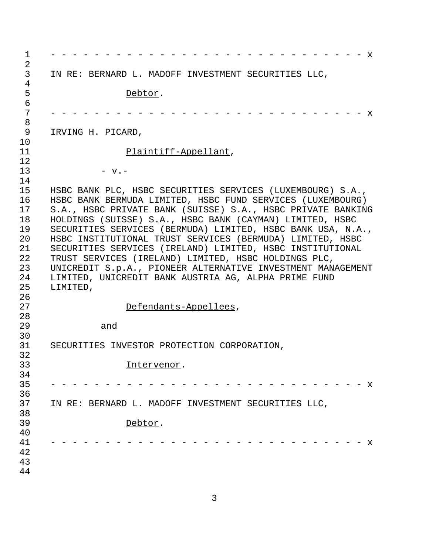| 1<br>$\overline{2}$                                                        | x                                                                                                                                                                                                                                                                                                                                                                                                                                                                                                                                                                                                                                       |
|----------------------------------------------------------------------------|-----------------------------------------------------------------------------------------------------------------------------------------------------------------------------------------------------------------------------------------------------------------------------------------------------------------------------------------------------------------------------------------------------------------------------------------------------------------------------------------------------------------------------------------------------------------------------------------------------------------------------------------|
| 3<br>4                                                                     | IN RE: BERNARD L. MADOFF INVESTMENT SECURITIES LLC,                                                                                                                                                                                                                                                                                                                                                                                                                                                                                                                                                                                     |
| 5<br>6                                                                     | Debtor.                                                                                                                                                                                                                                                                                                                                                                                                                                                                                                                                                                                                                                 |
| 7<br>8                                                                     | x                                                                                                                                                                                                                                                                                                                                                                                                                                                                                                                                                                                                                                       |
| 9<br>10                                                                    | IRVING H. PICARD,                                                                                                                                                                                                                                                                                                                                                                                                                                                                                                                                                                                                                       |
| 11                                                                         | Plaintiff-Appellant,                                                                                                                                                                                                                                                                                                                                                                                                                                                                                                                                                                                                                    |
| 12<br>13                                                                   | $-$ v. $-$                                                                                                                                                                                                                                                                                                                                                                                                                                                                                                                                                                                                                              |
| 14<br>15<br>16<br>17<br>18<br>19<br>20<br>21<br>22<br>23<br>24<br>25<br>26 | HSBC BANK PLC, HSBC SECURITIES SERVICES (LUXEMBOURG) S.A.,<br>HSBC BANK BERMUDA LIMITED, HSBC FUND SERVICES (LUXEMBOURG)<br>S.A., HSBC PRIVATE BANK (SUISSE) S.A., HSBC PRIVATE BANKING<br>HOLDINGS (SUISSE) S.A., HSBC BANK (CAYMAN) LIMITED, HSBC<br>SECURITIES SERVICES (BERMUDA) LIMITED, HSBC BANK USA, N.A.,<br>HSBC INSTITUTIONAL TRUST SERVICES (BERMUDA) LIMITED, HSBC<br>SECURITIES SERVICES (IRELAND) LIMITED, HSBC INSTITUTIONAL<br>TRUST SERVICES (IRELAND) LIMITED, HSBC HOLDINGS PLC,<br>UNICREDIT S.p.A., PIONEER ALTERNATIVE INVESTMENT MANAGEMENT<br>LIMITED, UNICREDIT BANK AUSTRIA AG, ALPHA PRIME FUND<br>LIMITED, |
| 27<br>28                                                                   | Defendants-Appellees,                                                                                                                                                                                                                                                                                                                                                                                                                                                                                                                                                                                                                   |
| 29<br>30                                                                   | and                                                                                                                                                                                                                                                                                                                                                                                                                                                                                                                                                                                                                                     |
| 31<br>32                                                                   | SECURITIES INVESTOR PROTECTION CORPORATION,                                                                                                                                                                                                                                                                                                                                                                                                                                                                                                                                                                                             |
| 33<br>34                                                                   | Intervenor.                                                                                                                                                                                                                                                                                                                                                                                                                                                                                                                                                                                                                             |
| 35<br>36                                                                   | X                                                                                                                                                                                                                                                                                                                                                                                                                                                                                                                                                                                                                                       |
| 37<br>38                                                                   | IN RE: BERNARD L. MADOFF INVESTMENT SECURITIES LLC,                                                                                                                                                                                                                                                                                                                                                                                                                                                                                                                                                                                     |
| 39                                                                         | Debtor.                                                                                                                                                                                                                                                                                                                                                                                                                                                                                                                                                                                                                                 |
| 40<br>41<br>42<br>43<br>44                                                 | х                                                                                                                                                                                                                                                                                                                                                                                                                                                                                                                                                                                                                                       |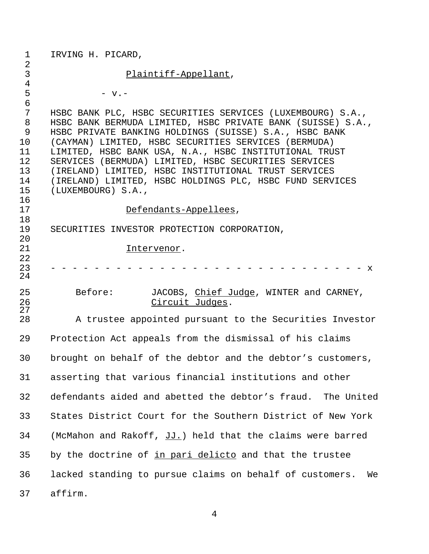| 1<br>$\overline{2}$                                       | IRVING H. PICARD,                                                                                                                                                                                                                                                                                                                                                                                                                                                                                       |
|-----------------------------------------------------------|---------------------------------------------------------------------------------------------------------------------------------------------------------------------------------------------------------------------------------------------------------------------------------------------------------------------------------------------------------------------------------------------------------------------------------------------------------------------------------------------------------|
| 3                                                         | Plaintiff-Appellant,                                                                                                                                                                                                                                                                                                                                                                                                                                                                                    |
| $\overline{4}$<br>5<br>$\epsilon$                         | $-$ v.-                                                                                                                                                                                                                                                                                                                                                                                                                                                                                                 |
| 7<br>$8\,$<br>9<br>10<br>11<br>12<br>13<br>14<br>15<br>16 | HSBC BANK PLC, HSBC SECURITIES SERVICES (LUXEMBOURG) S.A.,<br>HSBC BANK BERMUDA LIMITED, HSBC PRIVATE BANK (SUISSE) S.A.,<br>HSBC PRIVATE BANKING HOLDINGS (SUISSE) S.A., HSBC BANK<br>(CAYMAN) LIMITED, HSBC SECURITIES SERVICES (BERMUDA)<br>LIMITED, HSBC BANK USA, N.A., HSBC INSTITUTIONAL TRUST<br>SERVICES (BERMUDA) LIMITED, HSBC SECURITIES SERVICES<br>(IRELAND) LIMITED, HSBC INSTITUTIONAL TRUST SERVICES<br>(IRELAND) LIMITED, HSBC HOLDINGS PLC, HSBC FUND SERVICES<br>(LUXEMBOURG) S.A., |
| 17                                                        | Defendants-Appellees,                                                                                                                                                                                                                                                                                                                                                                                                                                                                                   |
| 18<br>19<br>20                                            | SECURITIES INVESTOR PROTECTION CORPORATION,                                                                                                                                                                                                                                                                                                                                                                                                                                                             |
| 21                                                        | Intervenor.                                                                                                                                                                                                                                                                                                                                                                                                                                                                                             |
| 22<br>23<br>24                                            | X                                                                                                                                                                                                                                                                                                                                                                                                                                                                                                       |
| 25<br>26                                                  | Before:<br>JACOBS, Chief Judge, WINTER and CARNEY,<br>Circuit Judges.                                                                                                                                                                                                                                                                                                                                                                                                                                   |
| 27<br>28                                                  | A trustee appointed pursuant to the Securities Investor                                                                                                                                                                                                                                                                                                                                                                                                                                                 |
| 29                                                        | Protection Act appeals from the dismissal of his claims                                                                                                                                                                                                                                                                                                                                                                                                                                                 |
| 30                                                        | brought on behalf of the debtor and the debtor's customers,                                                                                                                                                                                                                                                                                                                                                                                                                                             |
| 31                                                        | asserting that various financial institutions and other                                                                                                                                                                                                                                                                                                                                                                                                                                                 |
| 32                                                        | defendants aided and abetted the debtor's fraud. The United                                                                                                                                                                                                                                                                                                                                                                                                                                             |
| 33                                                        | States District Court for the Southern District of New York                                                                                                                                                                                                                                                                                                                                                                                                                                             |
| 34                                                        | (McMahon and Rakoff, JJ.) held that the claims were barred                                                                                                                                                                                                                                                                                                                                                                                                                                              |
| 35                                                        | by the doctrine of in pari delicto and that the trustee                                                                                                                                                                                                                                                                                                                                                                                                                                                 |
| 36                                                        | lacked standing to pursue claims on behalf of customers.<br>We                                                                                                                                                                                                                                                                                                                                                                                                                                          |
| 37                                                        | affirm.                                                                                                                                                                                                                                                                                                                                                                                                                                                                                                 |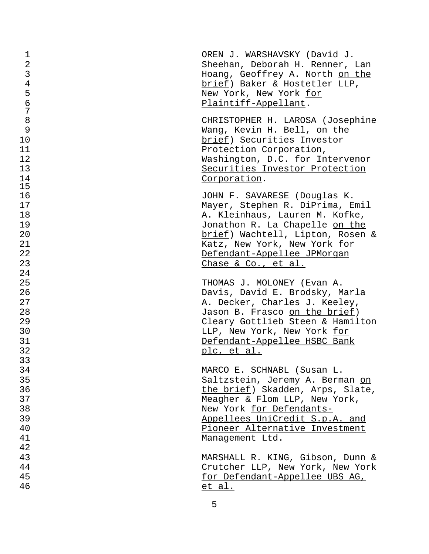| CHRISTOPHER H. LAROSA (Josephine<br>Wang, Kevin H. Bell, on the<br>brief) Securities Investor<br>Protection Corporation,<br>Washington, D.C. for Intervenor<br>Securities Investor Protection<br>Corporation.<br>JOHN F. SAVARESE (Douglas K.<br>Mayer, Stephen R. DiPrima, Emil |
|----------------------------------------------------------------------------------------------------------------------------------------------------------------------------------------------------------------------------------------------------------------------------------|
|                                                                                                                                                                                                                                                                                  |
| A. Kleinhaus, Lauren M. Kofke,<br>Jonathon R. La Chapelle on the<br>brief) Wachtell, Lipton, Rosen &<br>Katz, New York, New York for<br>Defendant-Appellee JPMorgan<br>Chase & Co., et al.                                                                                       |
| THOMAS J. MOLONEY (Evan A.<br>Davis, David E. Brodsky, Marla<br>A. Decker, Charles J. Keeley,<br>Jason B. Frasco on the brief)<br>Cleary Gottlieb Steen & Hamilton<br>LLP, New York, New York for<br>Defendant-Appellee HSBC Bank<br><u>plc, et al.</u>                          |
| MARCO E. SCHNABL (Susan L.<br>Saltzstein, Jeremy A. Berman on<br>the brief) Skadden, Arps, Slate,<br>Meagher & Flom LLP, New York,<br>New York for Defendants-                                                                                                                   |
| Appellees UniCredit S.p.A. and<br>Pioneer Alternative Investment<br>Management Ltd.                                                                                                                                                                                              |
|                                                                                                                                                                                                                                                                                  |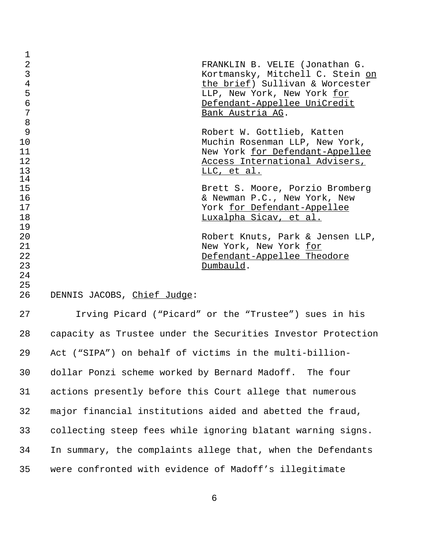| $\mathbf 1$    |                             |                                                                 |
|----------------|-----------------------------|-----------------------------------------------------------------|
| $\overline{a}$ |                             | FRANKLIN B. VELIE (Jonathan G.                                  |
| $\overline{3}$ |                             | Kortmansky, Mitchell C. Stein on                                |
| $\overline{4}$ |                             | the brief) Sullivan & Worcester                                 |
| 5              |                             | LLP, New York, New York for                                     |
| $\epsilon$     |                             | Defendant-Appellee UniCredit                                    |
| 7              |                             | <u>Bank Austria AG.</u>                                         |
| 8              |                             |                                                                 |
| 9              |                             | Robert W. Gottlieb, Katten                                      |
| 10             |                             | Muchin Rosenman LLP, New York,                                  |
| 11             |                             | New York for Defendant-Appellee                                 |
| 12             |                             | Access International Advisers,                                  |
| 13             |                             | LLC, et al.                                                     |
| 14<br>15       |                             |                                                                 |
| 16             |                             | Brett S. Moore, Porzio Bromberg<br>& Newman P.C., New York, New |
| 17             |                             |                                                                 |
| 18             |                             | York for Defendant-Appellee<br>Luxalpha Sicav, et al.           |
| 19             |                             |                                                                 |
| 20             |                             | Robert Knuts, Park & Jensen LLP,                                |
| 21             |                             | New York, New York for                                          |
| 22             |                             | Defendant-Appellee Theodore                                     |
| 23             |                             | Dumbauld.                                                       |
| 24             |                             |                                                                 |
| 25             |                             |                                                                 |
| 26             | DENNIS JACOBS, Chief Judge: |                                                                 |
| 27             |                             | Irving Picard ("Picard" or the "Trustee") sues in his           |
|                |                             |                                                                 |

 capacity as Trustee under the Securities Investor Protection Act ("SIPA") on behalf of victims in the multi-billion- dollar Ponzi scheme worked by Bernard Madoff. The four actions presently before this Court allege that numerous major financial institutions aided and abetted the fraud, collecting steep fees while ignoring blatant warning signs. In summary, the complaints allege that, when the Defendants were confronted with evidence of Madoff's illegitimate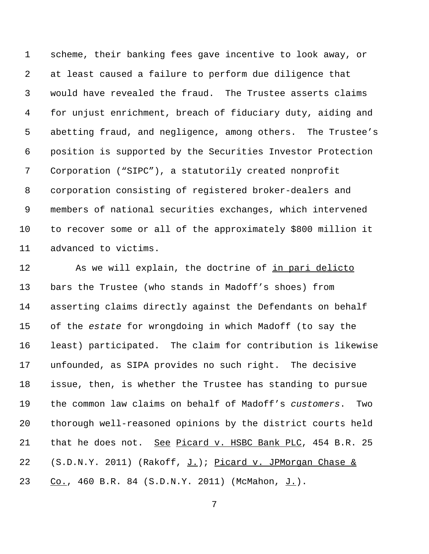scheme, their banking fees gave incentive to look away, or at least caused a failure to perform due diligence that would have revealed the fraud. The Trustee asserts claims for unjust enrichment, breach of fiduciary duty, aiding and abetting fraud, and negligence, among others. The Trustee's position is supported by the Securities Investor Protection Corporation ("SIPC"), a statutorily created nonprofit corporation consisting of registered broker-dealers and members of national securities exchanges, which intervened to recover some or all of the approximately \$800 million it advanced to victims.

12 As we will explain, the doctrine of in pari delicto bars the Trustee (who stands in Madoff's shoes) from asserting claims directly against the Defendants on behalf of the *estate* for wrongdoing in which Madoff (to say the least) participated. The claim for contribution is likewise unfounded, as SIPA provides no such right. The decisive issue, then, is whether the Trustee has standing to pursue the common law claims on behalf of Madoff's *customers*. Two thorough well-reasoned opinions by the district courts held that he does not. See Picard v. HSBC Bank PLC, 454 B.R. 25 (S.D.N.Y. 2011) (Rakoff, J.); Picard v. JPMorgan Chase & 23 Co., 460 B.R. 84 (S.D.N.Y. 2011) (McMahon, J.).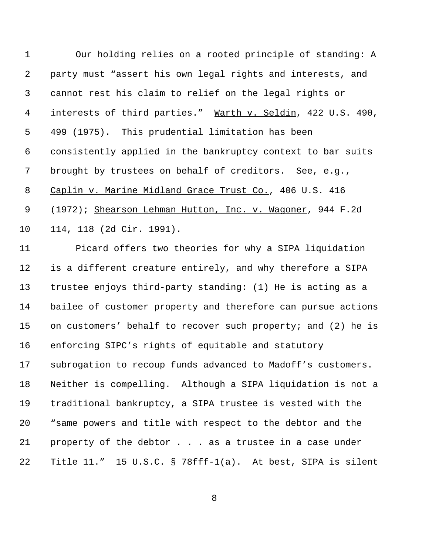Our holding relies on a rooted principle of standing: A party must "assert his own legal rights and interests, and cannot rest his claim to relief on the legal rights or interests of third parties." Warth v. Seldin, 422 U.S. 490, 499 (1975). This prudential limitation has been consistently applied in the bankruptcy context to bar suits brought by trustees on behalf of creditors. See, e.g., Caplin v. Marine Midland Grace Trust Co., 406 U.S. 416 (1972); Shearson Lehman Hutton, Inc. v. Wagoner, 944 F.2d 114, 118 (2d Cir. 1991).

 Picard offers two theories for why a SIPA liquidation is a different creature entirely, and why therefore a SIPA trustee enjoys third-party standing: (1) He is acting as a bailee of customer property and therefore can pursue actions on customers' behalf to recover such property; and (2) he is enforcing SIPC's rights of equitable and statutory subrogation to recoup funds advanced to Madoff's customers. Neither is compelling. Although a SIPA liquidation is not a traditional bankruptcy, a SIPA trustee is vested with the "same powers and title with respect to the debtor and the property of the debtor . . . as a trustee in a case under Title 11." 15 U.S.C. § 78fff-1(a). At best, SIPA is silent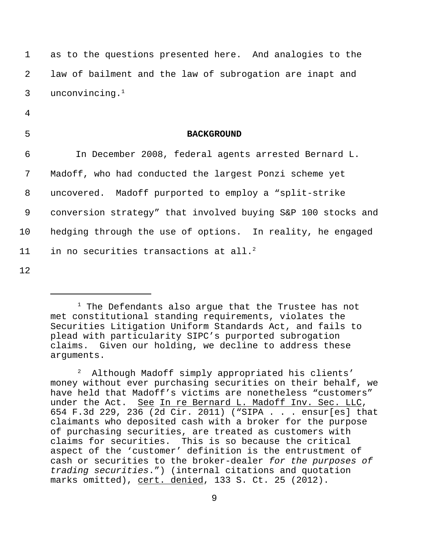| 1 as to the questions presented here. And analogies to the |
|------------------------------------------------------------|
| 2 law of bailment and the law of subrogation are inapt and |
| 3 unconvincing. $1$                                        |

- 4
- 

## 5 **BACKGROUND**

 In December 2008, federal agents arrested Bernard L. Madoff, who had conducted the largest Ponzi scheme yet uncovered. Madoff purported to employ a "split-strike conversion strategy" that involved buying S&P 100 stocks and hedging through the use of options. In reality, he engaged 11 in no securities transactions at all.<sup>2</sup>

 $1$  The Defendants also argue that the Trustee has not met constitutional standing requirements, violates the Securities Litigation Uniform Standards Act, and fails to plead with particularity SIPC's purported subrogation claims. Given our holding, we decline to address these arguments.

 <sup>2</sup> Although Madoff simply appropriated his clients' money without ever purchasing securities on their behalf, we have held that Madoff's victims are nonetheless "customers" under the Act. See In re Bernard L. Madoff Inv. Sec. LLC, 654 F.3d 229, 236 (2d Cir. 2011) ("SIPA . . . ensur[es] that claimants who deposited cash with a broker for the purpose of purchasing securities, are treated as customers with claims for securities. This is so because the critical aspect of the 'customer' definition is the entrustment of cash or securities to the broker-dealer *for the purposes of trading securities*.") (internal citations and quotation marks omitted), cert. denied, 133 S. Ct. 25 (2012).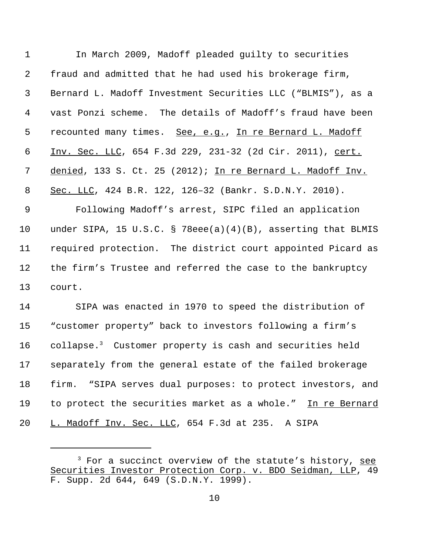In March 2009, Madoff pleaded guilty to securities fraud and admitted that he had used his brokerage firm, Bernard L. Madoff Investment Securities LLC ("BLMIS"), as a vast Ponzi scheme. The details of Madoff's fraud have been recounted many times. See, e.g., In re Bernard L. Madoff Inv. Sec. LLC, 654 F.3d 229, 231-32 (2d Cir. 2011), cert. denied, 133 S. Ct. 25 (2012); In re Bernard L. Madoff Inv. Sec. LLC, 424 B.R. 122, 126–32 (Bankr. S.D.N.Y. 2010). Following Madoff's arrest, SIPC filed an application under SIPA, 15 U.S.C. § 78eee(a)(4)(B), asserting that BLMIS required protection. The district court appointed Picard as

 the firm's Trustee and referred the case to the bankruptcy court.

 SIPA was enacted in 1970 to speed the distribution of "customer property" back to investors following a firm's 16 collapse.<sup>3</sup> Customer property is cash and securities held separately from the general estate of the failed brokerage firm. "SIPA serves dual purposes: to protect investors, and to protect the securities market as a whole." In re Bernard 20 L. Madoff Inv. Sec. LLC, 654 F.3d at 235. A SIPA

 For a succinct overview of the statute's history, see Securities Investor Protection Corp. v. BDO Seidman, LLP, 49 F. Supp. 2d 644, 649 (S.D.N.Y. 1999).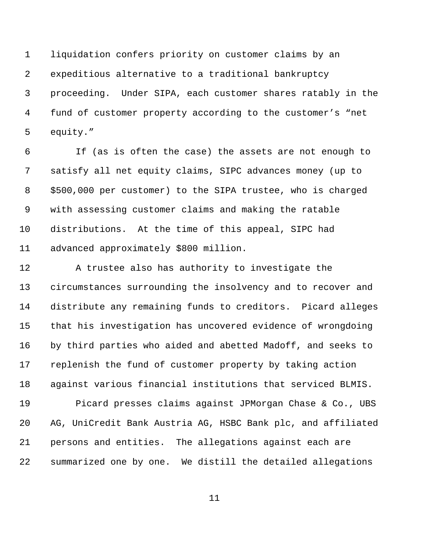liquidation confers priority on customer claims by an expeditious alternative to a traditional bankruptcy proceeding. Under SIPA, each customer shares ratably in the fund of customer property according to the customer's "net equity."

 If (as is often the case) the assets are not enough to satisfy all net equity claims, SIPC advances money (up to \$500,000 per customer) to the SIPA trustee, who is charged with assessing customer claims and making the ratable distributions. At the time of this appeal, SIPC had advanced approximately \$800 million.

 A trustee also has authority to investigate the circumstances surrounding the insolvency and to recover and distribute any remaining funds to creditors. Picard alleges that his investigation has uncovered evidence of wrongdoing by third parties who aided and abetted Madoff, and seeks to replenish the fund of customer property by taking action against various financial institutions that serviced BLMIS. Picard presses claims against JPMorgan Chase & Co., UBS AG, UniCredit Bank Austria AG, HSBC Bank plc, and affiliated

summarized one by one. We distill the detailed allegations

persons and entities. The allegations against each are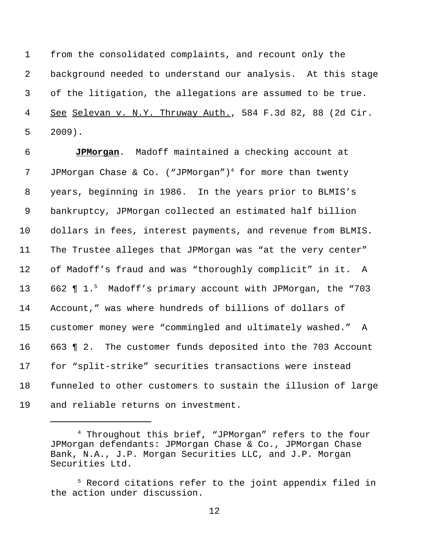from the consolidated complaints, and recount only the background needed to understand our analysis. At this stage of the litigation, the allegations are assumed to be true. 4 See Selevan v. N.Y. Thruway Auth., 584 F.3d 82, 88 (2d Cir. 2009).

 **JPMorgan**. Madoff maintained a checking account at 7 JPMorgan Chase & Co. ("JPMorgan")<sup>4</sup> for more than twenty years, beginning in 1986. In the years prior to BLMIS's bankruptcy, JPMorgan collected an estimated half billion dollars in fees, interest payments, and revenue from BLMIS. The Trustee alleges that JPMorgan was "at the very center" of Madoff's fraud and was "thoroughly complicit" in it. A 13 662  $\sqrt{15}$  Madoff's primary account with JPMorgan, the "703 Account," was where hundreds of billions of dollars of customer money were "commingled and ultimately washed." A 663 ¶ 2. The customer funds deposited into the 703 Account for "split-strike" securities transactions were instead funneled to other customers to sustain the illusion of large and reliable returns on investment.

<sup>&</sup>lt;sup>4</sup> Throughout this brief, "JPMorgan" refers to the four JPMorgan defendants: JPMorgan Chase & Co., JPMorgan Chase Bank, N.A., J.P. Morgan Securities LLC, and J.P. Morgan Securities Ltd.

 <sup>5</sup> Record citations refer to the joint appendix filed in the action under discussion.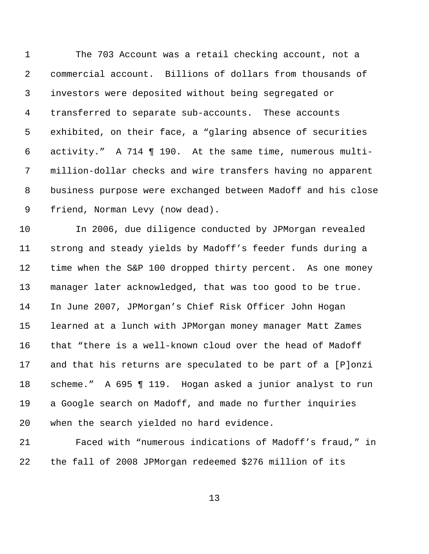The 703 Account was a retail checking account, not a commercial account. Billions of dollars from thousands of investors were deposited without being segregated or transferred to separate sub-accounts. These accounts exhibited, on their face, a "glaring absence of securities activity." A 714 ¶ 190. At the same time, numerous multi- million-dollar checks and wire transfers having no apparent business purpose were exchanged between Madoff and his close friend, Norman Levy (now dead).

 In 2006, due diligence conducted by JPMorgan revealed strong and steady yields by Madoff's feeder funds during a time when the S&P 100 dropped thirty percent. As one money manager later acknowledged, that was too good to be true. In June 2007, JPMorgan's Chief Risk Officer John Hogan learned at a lunch with JPMorgan money manager Matt Zames that "there is a well-known cloud over the head of Madoff and that his returns are speculated to be part of a [P]onzi scheme." A 695 ¶ 119. Hogan asked a junior analyst to run a Google search on Madoff, and made no further inquiries when the search yielded no hard evidence.

 Faced with "numerous indications of Madoff's fraud," in the fall of 2008 JPMorgan redeemed \$276 million of its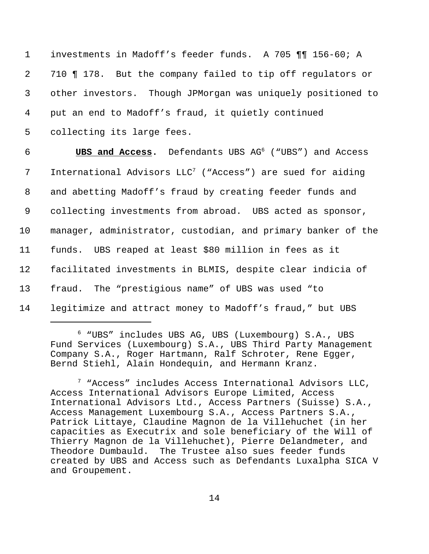investments in Madoff's feeder funds. A 705 ¶¶ 156-60; A 710 ¶ 178. But the company failed to tip off regulators or other investors. Though JPMorgan was uniquely positioned to put an end to Madoff's fraud, it quietly continued collecting its large fees.

**UBS and Access.** Defendants UBS AG<sup>6</sup> ("UBS") and Access 7 International Advisors  $LLC<sup>7</sup>$  ("Access") are sued for aiding and abetting Madoff's fraud by creating feeder funds and collecting investments from abroad. UBS acted as sponsor, manager, administrator, custodian, and primary banker of the funds. UBS reaped at least \$80 million in fees as it facilitated investments in BLMIS, despite clear indicia of fraud. The "prestigious name" of UBS was used "to legitimize and attract money to Madoff's fraud," but UBS

 6 "UBS" includes UBS AG, UBS (Luxembourg) S.A., UBS Fund Services (Luxembourg) S.A., UBS Third Party Management Company S.A., Roger Hartmann, Ralf Schroter, Rene Egger, Bernd Stiehl, Alain Hondequin, and Hermann Kranz.

 $7$  "Access" includes Access International Advisors LLC, Access International Advisors Europe Limited, Access International Advisors Ltd., Access Partners (Suisse) S.A., Access Management Luxembourg S.A., Access Partners S.A., Patrick Littaye, Claudine Magnon de la Villehuchet (in her capacities as Executrix and sole beneficiary of the Will of Thierry Magnon de la Villehuchet), Pierre Delandmeter, and Theodore Dumbauld. The Trustee also sues feeder funds created by UBS and Access such as Defendants Luxalpha SICA V and Groupement.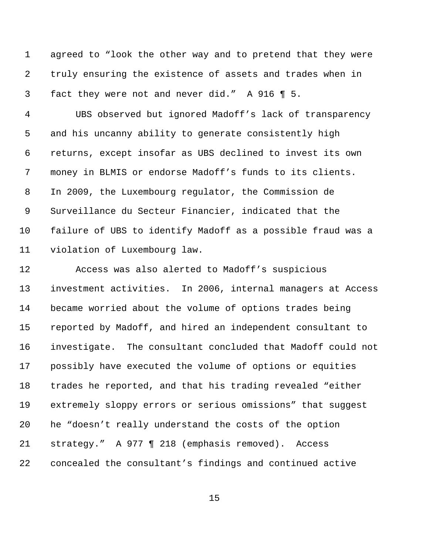agreed to "look the other way and to pretend that they were truly ensuring the existence of assets and trades when in fact they were not and never did." A 916 ¶ 5.

 UBS observed but ignored Madoff's lack of transparency and his uncanny ability to generate consistently high returns, except insofar as UBS declined to invest its own money in BLMIS or endorse Madoff's funds to its clients. In 2009, the Luxembourg regulator, the Commission de Surveillance du Secteur Financier, indicated that the failure of UBS to identify Madoff as a possible fraud was a violation of Luxembourg law.

 Access was also alerted to Madoff's suspicious investment activities. In 2006, internal managers at Access became worried about the volume of options trades being reported by Madoff, and hired an independent consultant to investigate. The consultant concluded that Madoff could not possibly have executed the volume of options or equities trades he reported, and that his trading revealed "either extremely sloppy errors or serious omissions" that suggest he "doesn't really understand the costs of the option strategy." A 977 ¶ 218 (emphasis removed). Access concealed the consultant's findings and continued active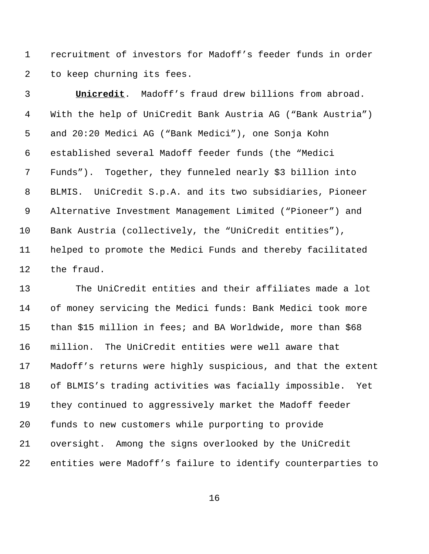recruitment of investors for Madoff's feeder funds in order to keep churning its fees.

 **Unicredit**. Madoff's fraud drew billions from abroad. With the help of UniCredit Bank Austria AG ("Bank Austria") and 20:20 Medici AG ("Bank Medici"), one Sonja Kohn established several Madoff feeder funds (the "Medici Funds"). Together, they funneled nearly \$3 billion into BLMIS. UniCredit S.p.A. and its two subsidiaries, Pioneer Alternative Investment Management Limited ("Pioneer") and Bank Austria (collectively, the "UniCredit entities"), helped to promote the Medici Funds and thereby facilitated the fraud.

 The UniCredit entities and their affiliates made a lot of money servicing the Medici funds: Bank Medici took more than \$15 million in fees; and BA Worldwide, more than \$68 million. The UniCredit entities were well aware that Madoff's returns were highly suspicious, and that the extent of BLMIS's trading activities was facially impossible. Yet they continued to aggressively market the Madoff feeder funds to new customers while purporting to provide oversight. Among the signs overlooked by the UniCredit entities were Madoff's failure to identify counterparties to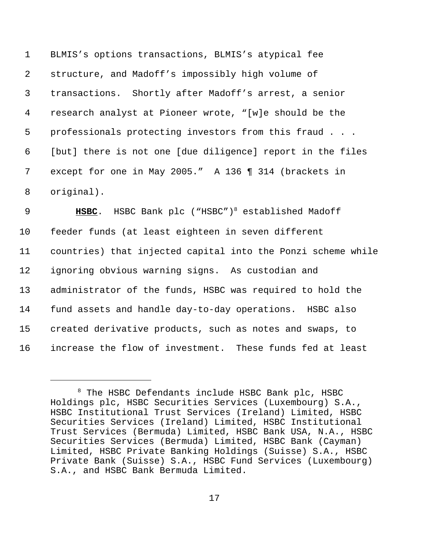BLMIS's options transactions, BLMIS's atypical fee structure, and Madoff's impossibly high volume of transactions. Shortly after Madoff's arrest, a senior research analyst at Pioneer wrote, "[w]e should be the professionals protecting investors from this fraud . . . [but] there is not one [due diligence] report in the files except for one in May 2005." A 136 ¶ 314 (brackets in original).

**HSBC**. HSBC Bank plc ("HSBC")<sup>8</sup> established Madoff feeder funds (at least eighteen in seven different countries) that injected capital into the Ponzi scheme while ignoring obvious warning signs. As custodian and administrator of the funds, HSBC was required to hold the fund assets and handle day-to-day operations. HSBC also created derivative products, such as notes and swaps, to increase the flow of investment. These funds fed at least

 The HSBC Defendants include HSBC Bank plc, HSBC Holdings plc, HSBC Securities Services (Luxembourg) S.A., HSBC Institutional Trust Services (Ireland) Limited, HSBC Securities Services (Ireland) Limited, HSBC Institutional Trust Services (Bermuda) Limited, HSBC Bank USA, N.A., HSBC Securities Services (Bermuda) Limited, HSBC Bank (Cayman) Limited, HSBC Private Banking Holdings (Suisse) S.A., HSBC Private Bank (Suisse) S.A., HSBC Fund Services (Luxembourg) S.A., and HSBC Bank Bermuda Limited.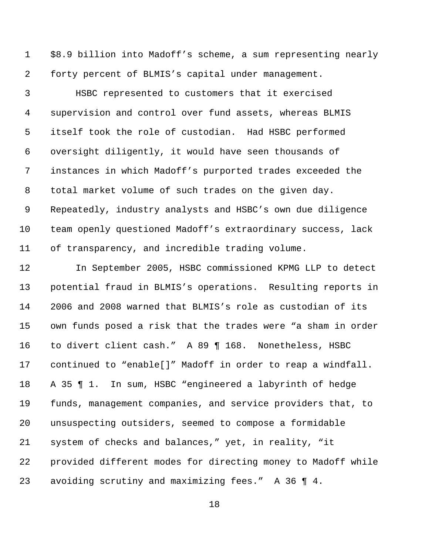\$8.9 billion into Madoff's scheme, a sum representing nearly forty percent of BLMIS's capital under management.

 HSBC represented to customers that it exercised supervision and control over fund assets, whereas BLMIS itself took the role of custodian. Had HSBC performed oversight diligently, it would have seen thousands of instances in which Madoff's purported trades exceeded the total market volume of such trades on the given day. Repeatedly, industry analysts and HSBC's own due diligence team openly questioned Madoff's extraordinary success, lack of transparency, and incredible trading volume.

 In September 2005, HSBC commissioned KPMG LLP to detect potential fraud in BLMIS's operations. Resulting reports in 2006 and 2008 warned that BLMIS's role as custodian of its own funds posed a risk that the trades were "a sham in order to divert client cash." A 89 ¶ 168. Nonetheless, HSBC continued to "enable[]" Madoff in order to reap a windfall. A 35 ¶ 1. In sum, HSBC "engineered a labyrinth of hedge funds, management companies, and service providers that, to unsuspecting outsiders, seemed to compose a formidable system of checks and balances," yet, in reality, "it provided different modes for directing money to Madoff while avoiding scrutiny and maximizing fees." A 36 ¶ 4.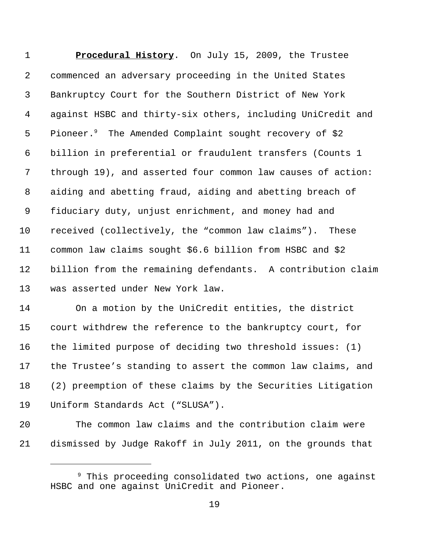**Procedural History**. On July 15, 2009, the Trustee commenced an adversary proceeding in the United States Bankruptcy Court for the Southern District of New York against HSBC and thirty-six others, including UniCredit and 5 Pioneer. The Amended Complaint sought recovery of \$2 billion in preferential or fraudulent transfers (Counts 1 through 19), and asserted four common law causes of action: aiding and abetting fraud, aiding and abetting breach of fiduciary duty, unjust enrichment, and money had and received (collectively, the "common law claims"). These common law claims sought \$6.6 billion from HSBC and \$2 billion from the remaining defendants. A contribution claim was asserted under New York law.

 On a motion by the UniCredit entities, the district court withdrew the reference to the bankruptcy court, for the limited purpose of deciding two threshold issues: (1) the Trustee's standing to assert the common law claims, and (2) preemption of these claims by the Securities Litigation Uniform Standards Act ("SLUSA").

 The common law claims and the contribution claim were dismissed by Judge Rakoff in July 2011, on the grounds that

<sup>&</sup>lt;sup>9</sup> This proceeding consolidated two actions, one against HSBC and one against UniCredit and Pioneer.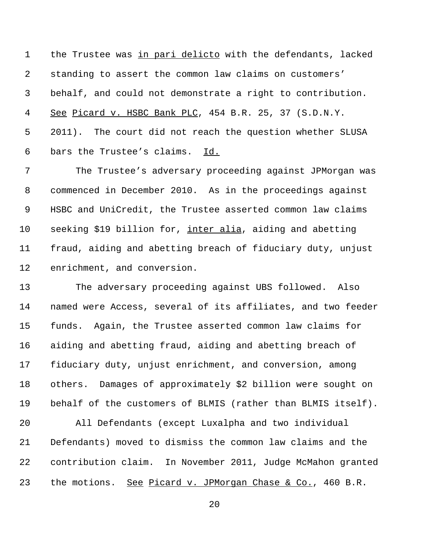the Trustee was in pari delicto with the defendants, lacked standing to assert the common law claims on customers' behalf, and could not demonstrate a right to contribution. 4 See Picard v. HSBC Bank PLC, 454 B.R. 25, 37 (S.D.N.Y. 2011). The court did not reach the question whether SLUSA bars the Trustee's claims. Id.

 The Trustee's adversary proceeding against JPMorgan was commenced in December 2010. As in the proceedings against HSBC and UniCredit, the Trustee asserted common law claims seeking \$19 billion for, inter alia, aiding and abetting fraud, aiding and abetting breach of fiduciary duty, unjust enrichment, and conversion.

 The adversary proceeding against UBS followed. Also named were Access, several of its affiliates, and two feeder funds. Again, the Trustee asserted common law claims for aiding and abetting fraud, aiding and abetting breach of fiduciary duty, unjust enrichment, and conversion, among others. Damages of approximately \$2 billion were sought on behalf of the customers of BLMIS (rather than BLMIS itself).

 All Defendants (except Luxalpha and two individual Defendants) moved to dismiss the common law claims and the contribution claim.In November 2011, Judge McMahon granted the motions. See Picard v. JPMorgan Chase & Co., 460 B.R.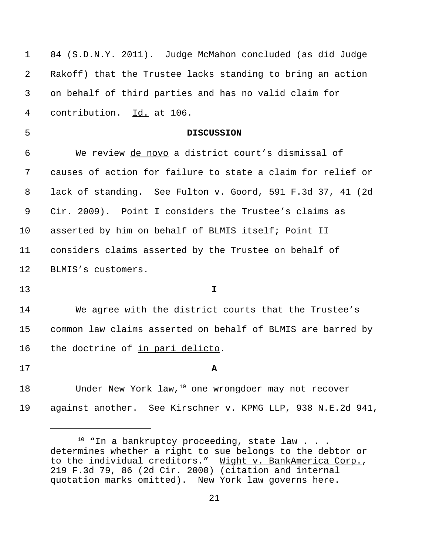| $\mathbf 1$ | 84 (S.D.N.Y. 2011). Judge McMahon concluded (as did Judge              |
|-------------|------------------------------------------------------------------------|
| 2           | Rakoff) that the Trustee lacks standing to bring an action             |
| 3           | on behalf of third parties and has no valid claim for                  |
| 4           | contribution. Id. at 106.                                              |
| 5           | <b>DISCUSSION</b>                                                      |
| 6           | We review de novo a district court's dismissal of                      |
| 7           | causes of action for failure to state a claim for relief or            |
| 8           | lack of standing. See Fulton v. Goord, 591 F.3d 37, 41 (2d             |
| 9           | Cir. 2009). Point I considers the Trustee's claims as                  |
| 10          | asserted by him on behalf of BLMIS itself; Point II                    |
| 11          | considers claims asserted by the Trustee on behalf of                  |
| 12          | BLMIS's customers.                                                     |
| 13          | I.                                                                     |
| 14          | We agree with the district courts that the Trustee's                   |
| 15          | common law claims asserted on behalf of BLMIS are barred by            |
| 16          | the doctrine of in pari delicto.                                       |
| 17          | Α                                                                      |
| 18          | Under New York law, <sup>10</sup> one wrongdoer may not recover        |
| 19          | <u>See Kirschner v. KPMG LLP</u> , 938 N.E.2d 941,<br>against another. |

 "In a bankruptcy proceeding, state law  $. . .$ determines whether a right to sue belongs to the debtor or to the individual creditors." Wight v. BankAmerica Corp., 219 F.3d 79, 86 (2d Cir. 2000) (citation and internal quotation marks omitted). New York law governs here.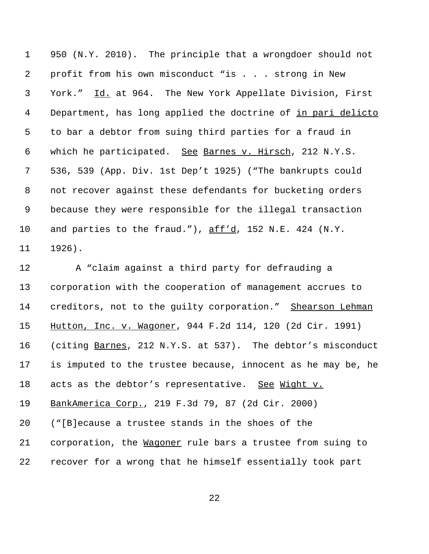950 (N.Y. 2010). The principle that a wrongdoer should not profit from his own misconduct "is . . . strong in New York." Id. at 964. The New York Appellate Division, First 4 Department, has long applied the doctrine of in pari delicto to bar a debtor from suing third parties for a fraud in which he participated. See Barnes v. Hirsch, 212 N.Y.S. 536, 539 (App. Div. 1st Dep't 1925) ("The bankrupts could not recover against these defendants for bucketing orders because they were responsible for the illegal transaction and parties to the fraud."), aff'd, 152 N.E. 424 (N.Y. 1926).

12 A "claim against a third party for defrauding a corporation with the cooperation of management accrues to 14 creditors, not to the guilty corporation." Shearson Lehman Hutton, Inc. v. Wagoner, 944 F.2d 114, 120 (2d Cir. 1991) 16 (citing Barnes, 212 N.Y.S. at 537). The debtor's misconduct is imputed to the trustee because, innocent as he may be, he 18 acts as the debtor's representative. See Wight v. BankAmerica Corp., 219 F.3d 79, 87 (2d Cir. 2000) ("[B]ecause a trustee stands in the shoes of the corporation, the Wagoner rule bars a trustee from suing to

recover for a wrong that he himself essentially took part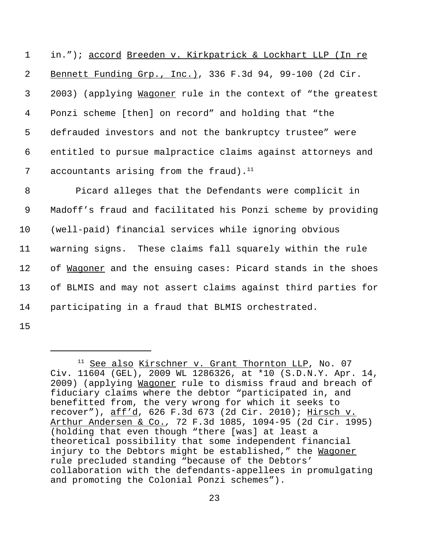in."); accord Breeden v. Kirkpatrick & Lockhart LLP (In re Bennett Funding Grp., Inc.), 336 F.3d 94, 99-100 (2d Cir. 2003) (applying Wagoner rule in the context of "the greatest Ponzi scheme [then] on record" and holding that "the defrauded investors and not the bankruptcy trustee" were entitled to pursue malpractice claims against attorneys and 7 accountants arising from the fraud).<sup>11</sup>

 Picard alleges that the Defendants were complicit in Madoff's fraud and facilitated his Ponzi scheme by providing (well-paid) financial services while ignoring obvious warning signs. These claims fall squarely within the rule 12 of Wagoner and the ensuing cases: Picard stands in the shoes of BLMIS and may not assert claims against third parties for participating in a fraud that BLMIS orchestrated.

<sup>&</sup>lt;sup>11</sup> See also Kirschner v. Grant Thornton LLP, No. 07 Civ. 11604 (GEL), 2009 WL 1286326, at \*10 (S.D.N.Y. Apr. 14, 2009) (applying Wagoner rule to dismiss fraud and breach of fiduciary claims where the debtor "participated in, and benefitted from, the very wrong for which it seeks to recover"), aff'd, 626 F.3d 673 (2d Cir. 2010); Hirsch v. Arthur Andersen & Co.*,* 72 F.3d 1085, 1094-95 (2d Cir. 1995) (holding that even though "there [was] at least a theoretical possibility that some independent financial injury to the Debtors might be established," the Wagoner rule precluded standing "because of the Debtors' collaboration with the defendants-appellees in promulgating and promoting the Colonial Ponzi schemes").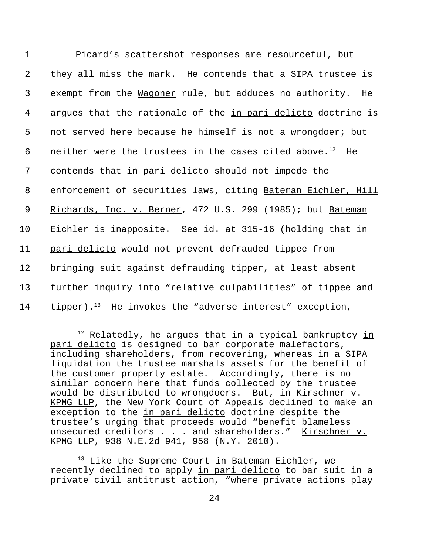| $\mathbf{1}$ | Picard's scattershot responses are resourceful, but                     |
|--------------|-------------------------------------------------------------------------|
| 2            | they all miss the mark. He contends that a SIPA trustee is              |
| $\mathsf{3}$ | exempt from the Wagoner rule, but adduces no authority. He              |
| 4            | argues that the rationale of the in pari delicto doctrine is            |
| 5            | not served here because he himself is not a wrongdoer; but              |
| 6            | neither were the trustees in the cases cited above. <sup>12</sup><br>He |
| 7            | contends that in pari delicto should not impede the                     |
| 8            | enforcement of securities laws, citing Bateman Eichler, Hill            |
| 9            | Richards, Inc. v. Berner, 472 U.S. 299 (1985); but Bateman              |
| $10 \,$      | Eichler is inapposite. See id. at 315-16 (holding that in               |
| 11           | pari delicto would not prevent defrauded tippee from                    |
| 12           | bringing suit against defrauding tipper, at least absent                |
| 13           | further inquiry into "relative culpabilities" of tippee and             |
| 14           | tipper). <sup>13</sup> He invokes the "adverse interest" exception,     |

 $12$  Relatedly, he argues that in a typical bankruptcy in pari delicto is designed to bar corporate malefactors, including shareholders, from recovering, whereas in a SIPA liquidation the trustee marshals assets for the benefit of the customer property estate. Accordingly, there is no similar concern here that funds collected by the trustee would be distributed to wrongdoers. But, in Kirschner v. KPMG LLP, the New York Court of Appeals declined to make an exception to the in pari delicto doctrine despite the trustee's urging that proceeds would "benefit blameless unsecured creditors . . . and shareholders." Kirschner v. KPMG LLP, 938 N.E.2d 941, 958 (N.Y. 2010).

 $13$  Like the Supreme Court in Bateman Eichler, we recently declined to apply in pari delicto to bar suit in a private civil antitrust action, "where private actions play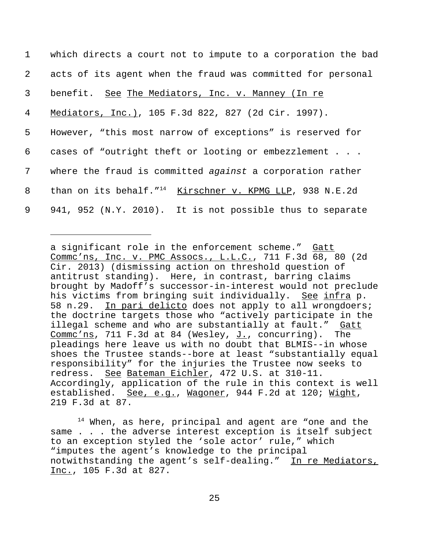|                 | 1 which directs a court not to impute to a corporation the bad       |
|-----------------|----------------------------------------------------------------------|
|                 | 2 acts of its agent when the fraud was committed for personal        |
| 3 <sup>7</sup>  | benefit. See The Mediators, Inc. v. Manney (In re                    |
| $4\overline{ }$ | Mediators, Inc.), 105 F.3d 822, 827 (2d Cir. 1997).                  |
| 5               | However, "this most narrow of exceptions" is reserved for            |
|                 | 6 cases of "outright theft or looting or embezzlement                |
| 7 <sup>7</sup>  | where the fraud is committed against a corporation rather            |
| 8               | than on its behalf." <sup>14</sup> Kirschner v. KPMG LLP, 938 N.E.2d |
| 9               | 941, 952 (N.Y. 2010). It is not possible thus to separate            |

a significant role in the enforcement scheme." Gatt Commc'ns, Inc. v. PMC Assocs., L.L.C., 711 F.3d 68, 80 (2d Cir. 2013) (dismissing action on threshold question of antitrust standing). Here, in contrast, barring claims brought by Madoff's successor-in-interest would not preclude his victims from bringing suit individually. See infra p. 58 n.29. In pari delicto does not apply to all wrongdoers; the doctrine targets those who "actively participate in the illegal scheme and who are substantially at fault." Gatt Commc'ns, 711 F.3d at 84 (Wesley, J., concurring). The pleadings here leave us with no doubt that BLMIS--in whose shoes the Trustee stands--bore at least "substantially equal responsibility" for the injuries the Trustee now seeks to redress. See Bateman Eichler, 472 U.S. at 310-11. Accordingly, application of the rule in this context is well established. See, e.g., Wagoner, 944 F.2d at 120; Wight, 219 F.3d at 87.

 $14$  When, as here, principal and agent are "one and the same . . . the adverse interest exception is itself subject to an exception styled the 'sole actor' rule," which "imputes the agent's knowledge to the principal notwithstanding the agent's self-dealing." In re Mediators, Inc., 105 F.3d at 827.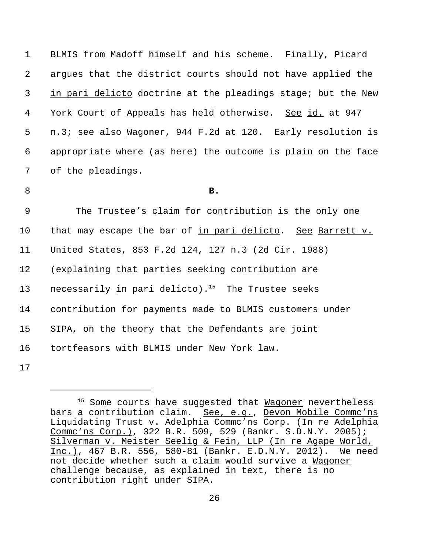| 1              | BLMIS from Madoff himself and his scheme. Finally, Picard     |
|----------------|---------------------------------------------------------------|
| $\overline{2}$ | argues that the district courts should not have applied the   |
| 3              | in pari delicto doctrine at the pleadings stage; but the New  |
| 4              | York Court of Appeals has held otherwise. See id. at 947      |
| 5              | n.3; see also Wagoner, 944 F.2d at 120. Early resolution is   |
| 6              | appropriate where (as here) the outcome is plain on the face  |
| 7              | of the pleadings.                                             |
| 8              | ${\bf B}$ .                                                   |
| $\overline{9}$ | The Trustee's claim for contribution is the only one          |
| $10 \,$        | that may escape the bar of in pari delicto. See Barrett v.    |
| 11             | United States, 853 F.2d 124, 127 n.3 (2d Cir. 1988)           |
| 12             | (explaining that parties seeking contribution are             |
| 13             | necessarily in pari delicto). <sup>15</sup> The Trustee seeks |
| 14             | contribution for payments made to BLMIS customers under       |
| 15             | SIPA, on the theory that the Defendants are joint             |
| 16             | tortfeasors with BLMIS under New York law.                    |
| 17             |                                                               |

<sup>&</sup>lt;sup>15</sup> Some courts have suggested that Wagoner nevertheless bars a contribution claim. See, e.g., Devon Mobile Commc'ns Liquidating Trust v. Adelphia Commc'ns Corp. (In re Adelphia Commc'ns Corp.), 322 B.R. 509, 529 (Bankr. S.D.N.Y. 2005); Silverman v. Meister Seelig & Fein, LLP (In re Agape World, Inc.), 467 B.R. 556, 580-81 (Bankr. E.D.N.Y. 2012). We need not decide whether such a claim would survive a Wagoner challenge because, as explained in text, there is no contribution right under SIPA.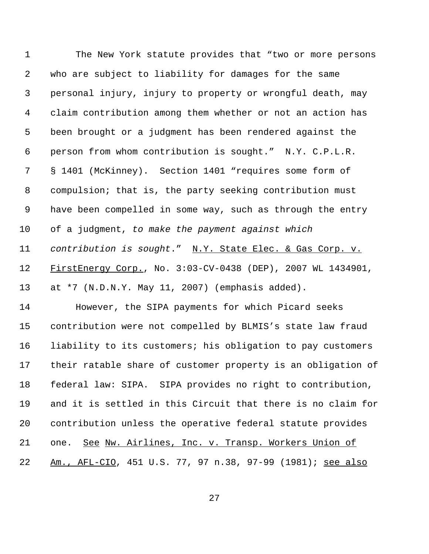| $\mathbf 1$     | The New York statute provides that "two or more persons           |
|-----------------|-------------------------------------------------------------------|
| 2               | who are subject to liability for damages for the same             |
| 3               | personal injury, injury to property or wrongful death, may        |
| 4               | claim contribution among them whether or not an action has        |
| 5               | been brought or a judgment has been rendered against the          |
| 6               | person from whom contribution is sought." N.Y. C.P.L.R.           |
| 7               | § 1401 (McKinney). Section 1401 "requires some form of            |
| 8               | compulsion; that is, the party seeking contribution must          |
| 9               | have been compelled in some way, such as through the entry        |
| 10              | of a judgment, to make the payment against which                  |
| 11              | contribution is sought." N.Y. State Elec. & Gas Corp. v.          |
| 12              | FirstEnergy Corp., No. 3:03-CV-0438 (DEP), 2007 WL 1434901,       |
| 13              | at $*7$ (N.D.N.Y. May 11, 2007) (emphasis added).                 |
| 14              | However, the SIPA payments for which Picard seeks                 |
| 15              | contribution were not compelled by BLMIS's state law fraud        |
| 16              | liability to its customers; his obligation to pay customers       |
| 17 <sub>2</sub> | their ratable share of customer property is an obligation of      |
| 18              | federal law: SIPA. SIPA provides no right to contribution,        |
| 19              | and it is settled in this Circuit that there is no claim for      |
| 20              | contribution unless the operative federal statute provides        |
| 21              | <u>See Nw. Airlines, Inc. v. Transp. Workers Union of</u><br>one. |
| 22              | Am., AFL-CIO, 451 U.S. 77, 97 n.38, 97-99 (1981); see also        |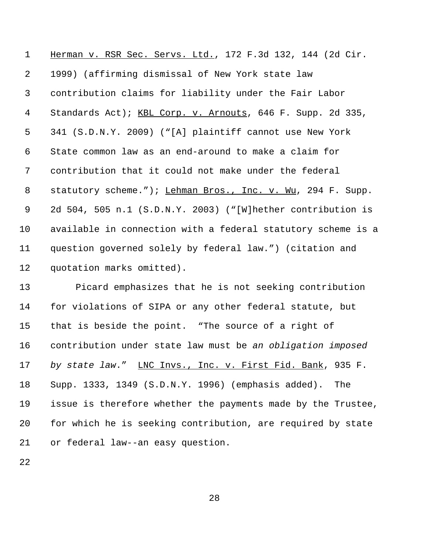Herman v. RSR Sec. Servs. Ltd., 172 F.3d 132, 144 (2d Cir. 1999) (affirming dismissal of New York state law contribution claims for liability under the Fair Labor Standards Act); KBL Corp. v. Arnouts, 646 F. Supp. 2d 335, 341 (S.D.N.Y. 2009) ("[A] plaintiff cannot use New York State common law as an end-around to make a claim for contribution that it could not make under the federal statutory scheme."); Lehman Bros., Inc. v. Wu, 294 F. Supp. 2d 504, 505 n.1 (S.D.N.Y. 2003) ("[W]hether contribution is available in connection with a federal statutory scheme is a question governed solely by federal law.") (citation and quotation marks omitted).

 Picard emphasizes that he is not seeking contribution for violations of SIPA or any other federal statute, but that is beside the point. "The source of a right of contribution under state law must be *an obligation imposed by state law*." LNC Invs., Inc. v. First Fid. Bank, 935 F. Supp. 1333, 1349 (S.D.N.Y. 1996) (emphasis added). The issue is therefore whether the payments made by the Trustee, for which he is seeking contribution, are required by state or federal law--an easy question.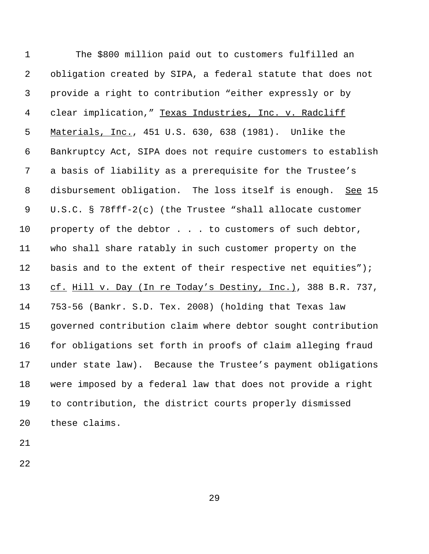The \$800 million paid out to customers fulfilled an obligation created by SIPA, a federal statute that does not provide a right to contribution "either expressly or by 4 clear implication," Texas Industries, Inc. v. Radcliff Materials, Inc., 451 U.S. 630, 638 (1981). Unlike the Bankruptcy Act, SIPA does not require customers to establish a basis of liability as a prerequisite for the Trustee's disbursement obligation. The loss itself is enough. See 15 U.S.C. § 78fff-2(c) (the Trustee "shall allocate customer property of the debtor . . . to customers of such debtor, who shall share ratably in such customer property on the 12 basis and to the extent of their respective net equities"); 13 cf. Hill v. Day (In re Today's Destiny, Inc.), 388 B.R. 737, 753-56 (Bankr. S.D. Tex. 2008) (holding that Texas law governed contribution claim where debtor sought contribution for obligations set forth in proofs of claim alleging fraud under state law). Because the Trustee's payment obligations were imposed by a federal law that does not provide a right to contribution, the district courts properly dismissed these claims.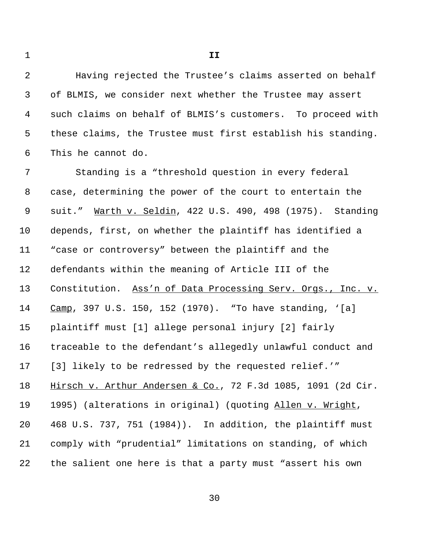Having rejected the Trustee's claims asserted on behalf of BLMIS, we consider next whether the Trustee may assert such claims on behalf of BLMIS's customers. To proceed with these claims, the Trustee must first establish his standing. This he cannot do.

**II**

 Standing is a "threshold question in every federal case, determining the power of the court to entertain the suit." Warth v. Seldin, 422 U.S. 490, 498 (1975). Standing depends, first, on whether the plaintiff has identified a "case or controversy" between the plaintiff and the defendants within the meaning of Article III of the Constitution. Ass'n of Data Processing Serv. Orgs., Inc. v. Camp, 397 U.S. 150, 152 (1970). "To have standing, '[a] plaintiff must [1] allege personal injury [2] fairly traceable to the defendant's allegedly unlawful conduct and [3] likely to be redressed by the requested relief.'" Hirsch v. Arthur Andersen & Co., 72 F.3d 1085, 1091 (2d Cir. 1995) (alterations in original) (quoting Allen v. Wright, 468 U.S. 737, 751 (1984)). In addition, the plaintiff must comply with "prudential" limitations on standing, of which the salient one here is that a party must "assert his own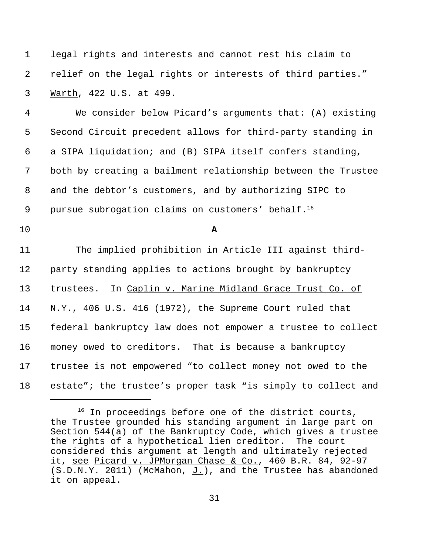legal rights and interests and cannot rest his claim to relief on the legal rights or interests of third parties." Warth, 422 U.S. at 499.

 We consider below Picard's arguments that: (A) existing Second Circuit precedent allows for third-party standing in a SIPA liquidation; and (B) SIPA itself confers standing, both by creating a bailment relationship between the Trustee and the debtor's customers, and by authorizing SIPC to 9 pursue subrogation claims on customers' behalf.

**A**

 The implied prohibition in Article III against third- party standing applies to actions brought by bankruptcy trustees. In Caplin v. Marine Midland Grace Trust Co. of N.Y., 406 U.S. 416 (1972), the Supreme Court ruled that federal bankruptcy law does not empower a trustee to collect money owed to creditors. That is because a bankruptcy trustee is not empowered "to collect money not owed to the estate"; the trustee's proper task "is simply to collect and

<sup>&</sup>lt;sup>16</sup> In proceedings before one of the district courts, the Trustee grounded his standing argument in large part on Section 544(a) of the Bankruptcy Code, which gives a trustee the rights of a hypothetical lien creditor. The court considered this argument at length and ultimately rejected it, see Picard v. JPMorgan Chase & Co., 460 B.R. 84, 92-97 (S.D.N.Y. 2011) (McMahon, J.), and the Trustee has abandoned it on appeal.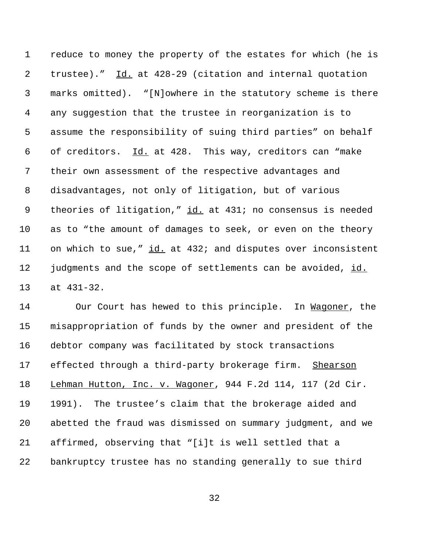reduce to money the property of the estates for which (he is trustee)." Id. at 428-29 (citation and internal quotation marks omitted). "[N]owhere in the statutory scheme is there any suggestion that the trustee in reorganization is to assume the responsibility of suing third parties" on behalf of creditors. Id. at 428. This way, creditors can "make their own assessment of the respective advantages and disadvantages, not only of litigation, but of various 9 theories of litigation," id. at 431; no consensus is needed as to "the amount of damages to seek, or even on the theory 11 on which to sue," id. at 432; and disputes over inconsistent 12 judgments and the scope of settlements can be avoided, id. at 431-32.

14 Our Court has hewed to this principle. In Wagoner, the misappropriation of funds by the owner and president of the debtor company was facilitated by stock transactions effected through a third-party brokerage firm. Shearson Lehman Hutton, Inc. v. Wagoner, 944 F.2d 114, 117 (2d Cir. 1991). The trustee's claim that the brokerage aided and abetted the fraud was dismissed on summary judgment, and we affirmed, observing that "[i]t is well settled that a bankruptcy trustee has no standing generally to sue third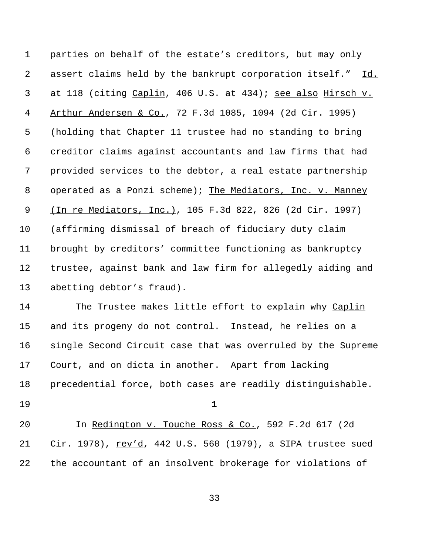parties on behalf of the estate's creditors, but may only 2 assert claims held by the bankrupt corporation itself." Id. at 118 (citing Caplin, 406 U.S. at 434); see also Hirsch v. Arthur Andersen & Co., 72 F.3d 1085, 1094 (2d Cir. 1995) (holding that Chapter 11 trustee had no standing to bring creditor claims against accountants and law firms that had provided services to the debtor, a real estate partnership operated as a Ponzi scheme); The Mediators, Inc. v. Manney (In re Mediators, Inc.), 105 F.3d 822, 826 (2d Cir. 1997) (affirming dismissal of breach of fiduciary duty claim brought by creditors' committee functioning as bankruptcy trustee, against bank and law firm for allegedly aiding and abetting debtor's fraud).

14 The Trustee makes little effort to explain why Caplin and its progeny do not control. Instead, he relies on a single Second Circuit case that was overruled by the Supreme Court, and on dicta in another. Apart from lacking precedential force, both cases are readily distinguishable.

**1**

 In Redington v. Touche Ross & Co., 592 F.2d 617 (2d 21 Cir. 1978), rev'd, 442 U.S. 560 (1979), a SIPA trustee sued the accountant of an insolvent brokerage for violations of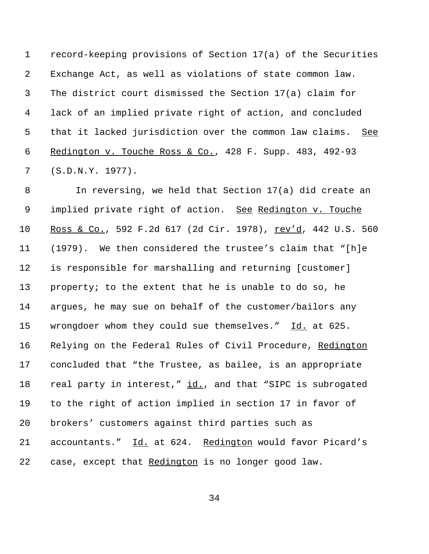record-keeping provisions of Section 17(a) of the Securities Exchange Act, as well as violations of state common law. The district court dismissed the Section 17(a) claim for lack of an implied private right of action, and concluded 5 that it lacked jurisdiction over the common law claims. See Redington v. Touche Ross & Co., 428 F. Supp. 483, 492-93 (S.D.N.Y. 1977).

 In reversing, we held that Section 17(a) did create an implied private right of action. See Redington v. Touche Ross & Co., 592 F.2d 617 (2d Cir. 1978), rev'd, 442 U.S. 560 (1979). We then considered the trustee's claim that "[h]e is responsible for marshalling and returning [customer] property; to the extent that he is unable to do so, he argues, he may sue on behalf of the customer/bailors any 15 wrongdoer whom they could sue themselves." Id. at 625. 16 Relying on the Federal Rules of Civil Procedure, Redington concluded that "the Trustee, as bailee, is an appropriate 18 real party in interest," id., and that "SIPC is subrogated to the right of action implied in section 17 in favor of brokers' customers against third parties such as accountants." Id. at 624. Redington would favor Picard's case, except that Redington is no longer good law.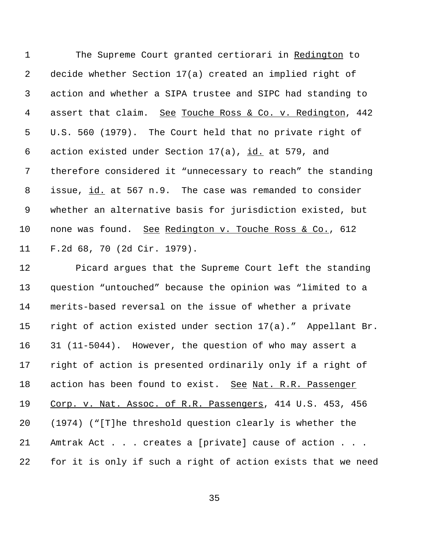The Supreme Court granted certiorari in Redington to decide whether Section 17(a) created an implied right of action and whether a SIPA trustee and SIPC had standing to assert that claim. See Touche Ross & Co. v. Redington, 442 U.S. 560 (1979). The Court held that no private right of 6 action existed under Section  $17(a)$ , id. at 579, and therefore considered it "unnecessary to reach" the standing 8 issue, id. at 567 n.9. The case was remanded to consider whether an alternative basis for jurisdiction existed, but 10 none was found. See Redington v. Touche Ross & Co., 612 F.2d 68, 70 (2d Cir. 1979).

 Picard argues that the Supreme Court left the standing question "untouched" because the opinion was "limited to a merits-based reversal on the issue of whether a private right of action existed under section 17(a)." Appellant Br. 31 (11-5044). However, the question of who may assert a right of action is presented ordinarily only if a right of action has been found to exist. See Nat. R.R. Passenger Corp. v. Nat. Assoc. of R.R. Passengers, 414 U.S. 453, 456 (1974) ("[T]he threshold question clearly is whether the 21 Amtrak Act . . . creates a [private] cause of action . . . for it is only if such a right of action exists that we need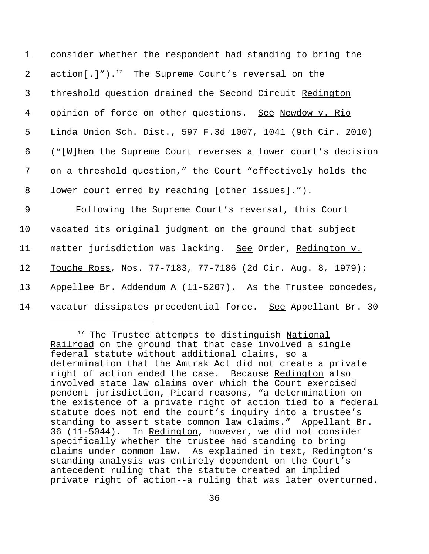| $\mathbf{1}$   | consider whether the respondent had standing to bring the         |
|----------------|-------------------------------------------------------------------|
| $\overline{2}$ | $action[.]")$ . <sup>17</sup> The Supreme Court's reversal on the |
| $\mathsf{3}$   | threshold question drained the Second Circuit Redington           |
| 4              | opinion of force on other questions. See Newdow v. Rio            |
| 5              | Linda Union Sch. Dist., 597 F.3d 1007, 1041 (9th Cir. 2010)       |
| 6              | ("[W]hen the Supreme Court reverses a lower court's decision      |
| 7              | on a threshold question," the Court "effectively holds the        |
| 8              | lower court erred by reaching [other issues].").                  |
| 9              | Following the Supreme Court's reversal, this Court                |
| 10             | vacated its original judgment on the ground that subject          |
| 11             | matter jurisdiction was lacking. See Order, Redington v.          |
| 12             | Touche Ross, Nos. 77-7183, 77-7186 (2d Cir. Aug. 8, 1979);        |
| 13             | Appellee Br. Addendum A (11-5207). As the Trustee concedes,       |

14 vacatur dissipates precedential force. See Appellant Br. 30

<sup>&</sup>lt;sup>17</sup> The Trustee attempts to distinguish National Railroad on the ground that that case involved a single federal statute without additional claims, so a determination that the Amtrak Act did not create a private right of action ended the case. Because Redington also involved state law claims over which the Court exercised pendent jurisdiction, Picard reasons, "a determination on the existence of a private right of action tied to a federal statute does not end the court's inquiry into a trustee's standing to assert state common law claims." Appellant Br. 36 (11-5044). In Redington, however, we did not consider specifically whether the trustee had standing to bring claims under common law. As explained in text, Redington's standing analysis was entirely dependent on the Court's antecedent ruling that the statute created an implied private right of action--a ruling that was later overturned.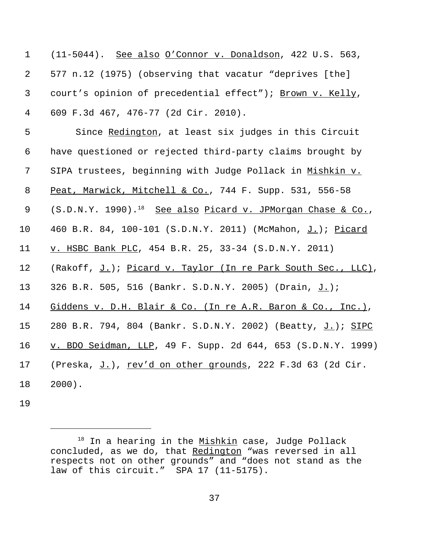(11-5044). See also O'Connor v. Donaldson, 422 U.S. 563, 577 n.12 (1975) (observing that vacatur "deprives [the] court's opinion of precedential effect"); Brown v. Kelly, 609 F.3d 467, 476-77 (2d Cir. 2010).

 Since Redington, at least six judges in this Circuit have questioned or rejected third-party claims brought by SIPA trustees, beginning with Judge Pollack in Mishkin v. Peat, Marwick, Mitchell & Co., 744 F. Supp. 531, 556-58 9 (S.D.N.Y. 1990).<sup>18</sup> See also Picard v. JPMorgan Chase & Co., 460 B.R. 84, 100-101 (S.D.N.Y. 2011) (McMahon, J.); Picard v. HSBC Bank PLC, 454 B.R. 25, 33-34 (S.D.N.Y. 2011) 12 (Rakoff, J.); Picard v. Taylor (In re Park South Sec., LLC), 326 B.R. 505, 516 (Bankr. S.D.N.Y. 2005) (Drain, J.); Giddens v. D.H. Blair & Co. (In re A.R. Baron & Co., Inc.), 15 280 B.R. 794, 804 (Bankr. S.D.N.Y. 2002) (Beatty, J.); SIPC 16 v. BDO Seidman, LLP, 49 F. Supp. 2d 644, 653 (S.D.N.Y. 1999) 17 (Preska, J.), rev'd on other grounds, 222 F.3d 63 (2d Cir. 2000).

 In a hearing in the  $Mishkin$  case, Judge Pollack concluded, as we do, that Redington "was reversed in all respects not on other grounds" and "does not stand as the law of this circuit." SPA 17 (11-5175).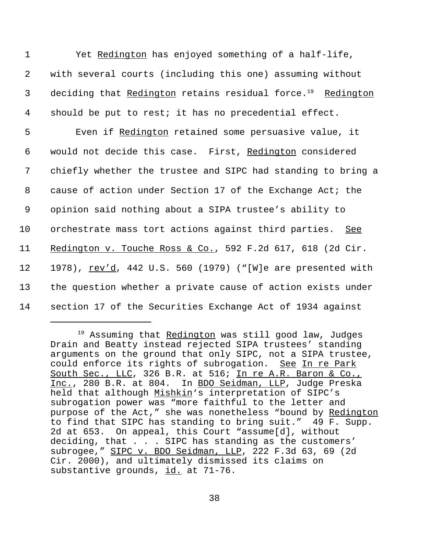| $\mathbf 1$    | Yet Redington has enjoyed something of a half-life,                     |
|----------------|-------------------------------------------------------------------------|
| $\overline{2}$ | with several courts (including this one) assuming without               |
| 3              | deciding that Redington retains residual force. <sup>19</sup> Redington |
| 4              | should be put to rest; it has no precedential effect.                   |
| 5              | Even if Redington retained some persuasive value, it                    |
| 6              | would not decide this case. First, Redington considered                 |
| 7              | chiefly whether the trustee and SIPC had standing to bring a            |
| 8              | cause of action under Section 17 of the Exchange Act; the               |
| 9              | opinion said nothing about a SIPA trustee's ability to                  |
| 10             | orchestrate mass tort actions against third parties. See                |
| 11             | Redington v. Touche Ross & Co., 592 F.2d 617, 618 (2d Cir.              |
| 12             | 1978), rev'd, 442 U.S. 560 (1979) ("[W]e are presented with             |
| 13             | the question whether a private cause of action exists under             |
| 14             | section 17 of the Securities Exchange Act of 1934 against               |

<sup>&</sup>lt;sup>19</sup> Assuming that Redington was still good law, Judges Drain and Beatty instead rejected SIPA trustees' standing arguments on the ground that only SIPC, not a SIPA trustee, could enforce its rights of subrogation. See In re Park South Sec., LLC, 326 B.R. at 516; In re A.R. Baron & Co., Inc., 280 B.R. at 804. In BDO Seidman, LLP, Judge Preska held that although Mishkin's interpretation of SIPC's subrogation power was "more faithful to the letter and purpose of the Act," she was nonetheless "bound by Redington to find that SIPC has standing to bring suit." 49 F. Supp. 2d at 653. On appeal, this Court "assume[d], without deciding, that . . . SIPC has standing as the customers' subrogee," SIPC v. BDO Seidman, LLP, 222 F.3d 63, 69 (2d Cir. 2000), and ultimately dismissed its claims on substantive grounds, id. at 71-76.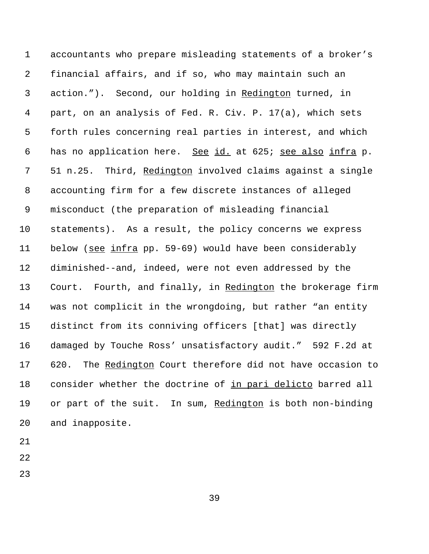accountants who prepare misleading statements of a broker's financial affairs, and if so, who may maintain such an action."). Second, our holding in Redington turned, in part, on an analysis of Fed. R. Civ. P. 17(a), which sets forth rules concerning real parties in interest, and which has no application here. See id. at 625; see also infra p. 51 n.25. Third, Redington involved claims against a single accounting firm for a few discrete instances of alleged misconduct (the preparation of misleading financial statements). As a result, the policy concerns we express below (see infra pp. 59-69) would have been considerably diminished--and, indeed, were not even addressed by the 13 Court. Fourth, and finally, in Redington the brokerage firm was not complicit in the wrongdoing, but rather "an entity distinct from its conniving officers [that] was directly damaged by Touche Ross' unsatisfactory audit." 592 F.2d at 17 620. The Redington Court therefore did not have occasion to 18 consider whether the doctrine of in pari delicto barred all 19 or part of the suit. In sum, Redington is both non-binding and inapposite.

- 
- 
-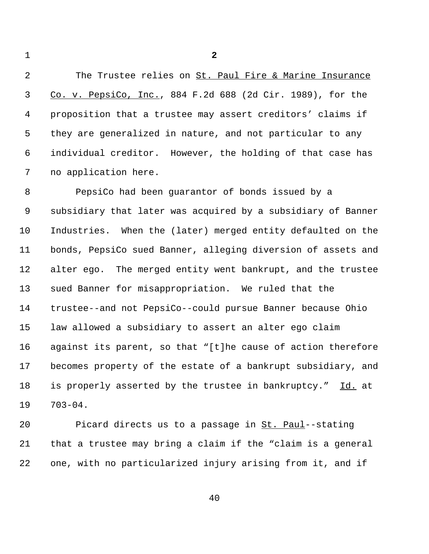**2**

2 The Trustee relies on St. Paul Fire & Marine Insurance Co. v. PepsiCo, Inc., 884 F.2d 688 (2d Cir. 1989), for the proposition that a trustee may assert creditors' claims if they are generalized in nature, and not particular to any individual creditor. However, the holding of that case has no application here.

 PepsiCo had been guarantor of bonds issued by a subsidiary that later was acquired by a subsidiary of Banner Industries. When the (later) merged entity defaulted on the bonds, PepsiCo sued Banner, alleging diversion of assets and alter ego. The merged entity went bankrupt, and the trustee sued Banner for misappropriation. We ruled that the trustee--and not PepsiCo--could pursue Banner because Ohio law allowed a subsidiary to assert an alter ego claim against its parent, so that "[t]he cause of action therefore becomes property of the estate of a bankrupt subsidiary, and is properly asserted by the trustee in bankruptcy." Id. at 703-04.

20 Picard directs us to a passage in St. Paul--stating that a trustee may bring a claim if the "claim is a general one, with no particularized injury arising from it, and if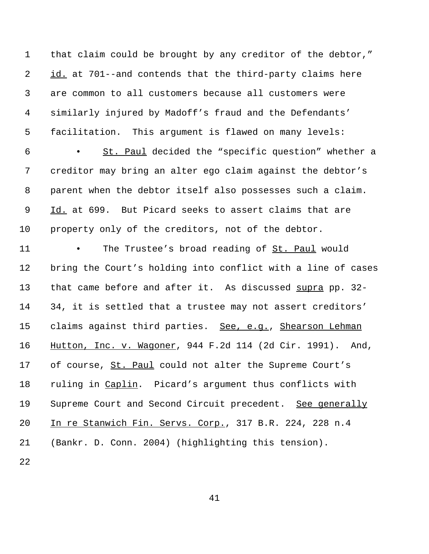that claim could be brought by any creditor of the debtor," id. at 701--and contends that the third-party claims here are common to all customers because all customers were similarly injured by Madoff's fraud and the Defendants' facilitation. This argument is flawed on many levels:

 • St. Paul decided the "specific question" whether a creditor may bring an alter ego claim against the debtor's parent when the debtor itself also possesses such a claim. Id. at 699. But Picard seeks to assert claims that are property only of the creditors, not of the debtor.

11 • The Trustee's broad reading of St. Paul would bring the Court's holding into conflict with a line of cases 13 that came before and after it. As discussed supra pp. 32- 34, it is settled that a trustee may not assert creditors' claims against third parties. See, e.g., Shearson Lehman Hutton, Inc. v. Wagoner, 944 F.2d 114 (2d Cir. 1991). And, of course, St. Paul could not alter the Supreme Court's ruling in Caplin. Picard's argument thus conflicts with Supreme Court and Second Circuit precedent. See generally In re Stanwich Fin. Servs. Corp., 317 B.R. 224, 228 n.4 (Bankr. D. Conn. 2004) (highlighting this tension).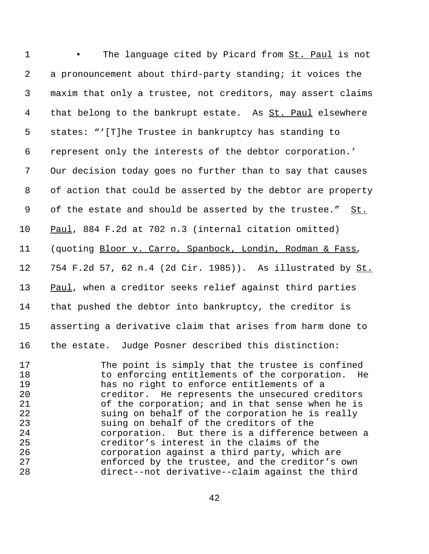• The language cited by Picard from St. Paul is not a pronouncement about third-party standing; it voices the maxim that only a trustee, not creditors, may assert claims 4 that belong to the bankrupt estate. As St. Paul elsewhere states: "'[T]he Trustee in bankruptcy has standing to represent only the interests of the debtor corporation.' Our decision today goes no further than to say that causes of action that could be asserted by the debtor are property of the estate and should be asserted by the trustee." St. Paul, 884 F.2d at 702 n.3 (internal citation omitted) (quoting Bloor v. Carro, Spanbock, Londin, Rodman & Fass*,* 754 F.2d 57, 62 n.4 (2d Cir. 1985)). As illustrated by St. 13 Paul, when a creditor seeks relief against third parties that pushed the debtor into bankruptcy, the creditor is asserting a derivative claim that arises from harm done to the estate. Judge Posner described this distinction: The point is simply that the trustee is confined

 to enforcing entitlements of the corporation. He has no right to enforce entitlements of a creditor. He represents the unsecured creditors of the corporation; and in that sense when he is suing on behalf of the corporation he is really suing on behalf of the creditors of the corporation. But there is a difference between a creditor's interest in the claims of the corporation against a third party, which are enforced by the trustee, and the creditor's own direct--not derivative--claim against the third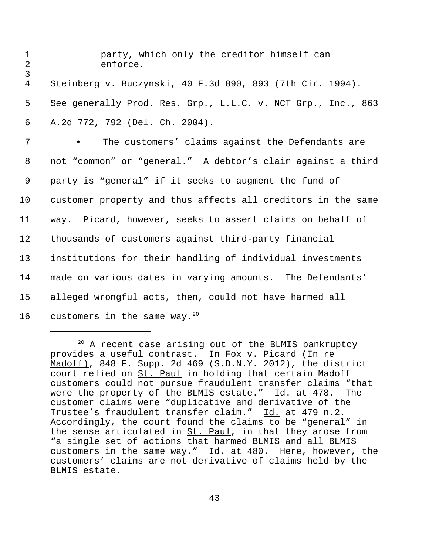| $\mathbf 1$<br>$\overline{2}$<br>$\mathsf{3}$ | party, which only the creditor himself can<br>enforce.       |
|-----------------------------------------------|--------------------------------------------------------------|
| $\overline{4}$                                | Steinberg v. Buczynski, 40 F.3d 890, 893 (7th Cir. 1994).    |
| 5                                             | See generally Prod. Res. Grp., L.L.C. v. NCT Grp., Inc., 863 |
| 6                                             | A.2d 772, 792 (Del. Ch. 2004).                               |
| 7                                             | The customers' claims against the Defendants are             |
| 8                                             | not "common" or "general." A debtor's claim against a third  |
| 9                                             | party is "general" if it seeks to augment the fund of        |
| 10                                            | customer property and thus affects all creditors in the same |
| 11                                            | way. Picard, however, seeks to assert claims on behalf of    |
| 12                                            | thousands of customers against third-party financial         |
| 13                                            | institutions for their handling of individual investments    |
| 14                                            | made on various dates in varying amounts. The Defendants'    |
| 15                                            | alleged wrongful acts, then, could not have harmed all       |
| 16                                            | customers in the same way. $20$                              |

<sup>&</sup>lt;sup>20</sup> A recent case arising out of the BLMIS bankruptcy provides a useful contrast. In Fox v. Picard (In re Madoff), 848 F. Supp. 2d 469 (S.D.N.Y. 2012), the district court relied on St. Paul in holding that certain Madoff customers could not pursue fraudulent transfer claims "that were the property of the BLMIS estate." Id. at 478. The customer claims were "duplicative and derivative of the Trustee's fraudulent transfer claim." Id. at 479 n.2. Accordingly, the court found the claims to be "general" in the sense articulated in St. Paul, in that they arose from "a single set of actions that harmed BLMIS and all BLMIS customers in the same way." Id. at 480. Here, however, the customers' claims are not derivative of claims held by the BLMIS estate.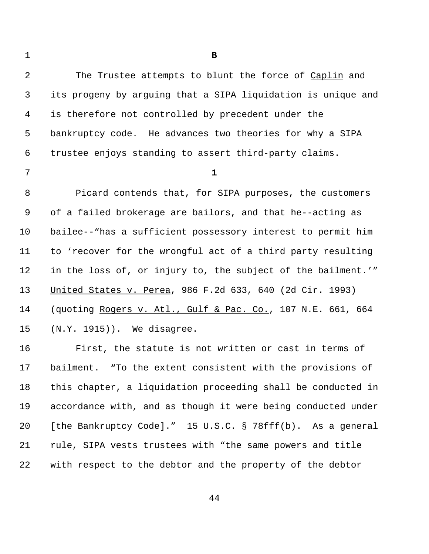2 The Trustee attempts to blunt the force of Caplin and its progeny by arguing that a SIPA liquidation is unique and is therefore not controlled by precedent under the bankruptcy code. He advances two theories for why a SIPA trustee enjoys standing to assert third-party claims.

**B**

## **1**

 Picard contends that, for SIPA purposes, the customers of a failed brokerage are bailors, and that he--acting as bailee--"has a sufficient possessory interest to permit him to 'recover for the wrongful act of a third party resulting in the loss of, or injury to, the subject of the bailment.'" United States v. Perea, 986 F.2d 633, 640 (2d Cir. 1993) (quoting Rogers v. Atl., Gulf & Pac. Co., 107 N.E. 661, 664 (N.Y. 1915)). We disagree.

 First, the statute is not written or cast in terms of bailment. "To the extent consistent with the provisions of this chapter, a liquidation proceeding shall be conducted in accordance with, and as though it were being conducted under [the Bankruptcy Code]." 15 U.S.C. § 78fff(b). As a general rule, SIPA vests trustees with "the same powers and title with respect to the debtor and the property of the debtor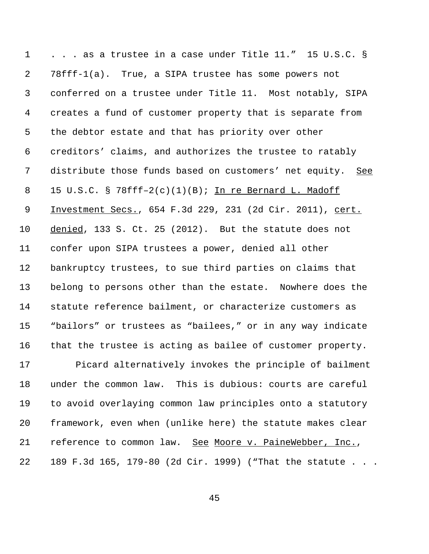1 . . . as a trustee in a case under Title 11." 15 U.S.C. § 78fff-1(a). True, a SIPA trustee has some powers not conferred on a trustee under Title 11. Most notably, SIPA creates a fund of customer property that is separate from the debtor estate and that has priority over other creditors' claims, and authorizes the trustee to ratably 7 distribute those funds based on customers' net equity. See 8 15 U.S.C. § 78fff-2(c)(1)(B); In re Bernard L. Madoff Investment Secs., 654 F.3d 229, 231 (2d Cir. 2011), cert. denied, 133 S. Ct. 25 (2012). But the statute does not confer upon SIPA trustees a power, denied all other bankruptcy trustees, to sue third parties on claims that belong to persons other than the estate. Nowhere does the statute reference bailment, or characterize customers as "bailors" or trustees as "bailees," or in any way indicate that the trustee is acting as bailee of customer property.

 Picard alternatively invokes the principle of bailment under the common law. This is dubious: courts are careful to avoid overlaying common law principles onto a statutory framework, even when (unlike here) the statute makes clear reference to common law. See Moore v. PaineWebber, Inc., 189 F.3d 165, 179-80 (2d Cir. 1999) ("That the statute . . .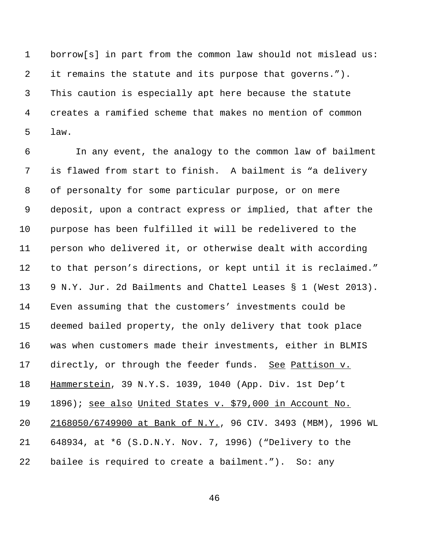borrow[s] in part from the common law should not mislead us: it remains the statute and its purpose that governs."). This caution is especially apt here because the statute creates a ramified scheme that makes no mention of common law.

 In any event, the analogy to the common law of bailment is flawed from start to finish. A bailment is "a delivery of personalty for some particular purpose, or on mere deposit, upon a contract express or implied, that after the purpose has been fulfilled it will be redelivered to the person who delivered it, or otherwise dealt with according to that person's directions, or kept until it is reclaimed." 9 N.Y. Jur. 2d Bailments and Chattel Leases § 1 (West 2013). Even assuming that the customers' investments could be deemed bailed property, the only delivery that took place was when customers made their investments, either in BLMIS 17 directly, or through the feeder funds. See Pattison v. Hammerstein, 39 N.Y.S. 1039, 1040 (App. Div. 1st Dep't 1896); see also United States v. \$79,000 in Account No. 2168050/6749900 at Bank of N.Y., 96 CIV. 3493 (MBM), 1996 WL 648934, at \*6 (S.D.N.Y. Nov. 7, 1996) ("Delivery to the bailee is required to create a bailment."). So: any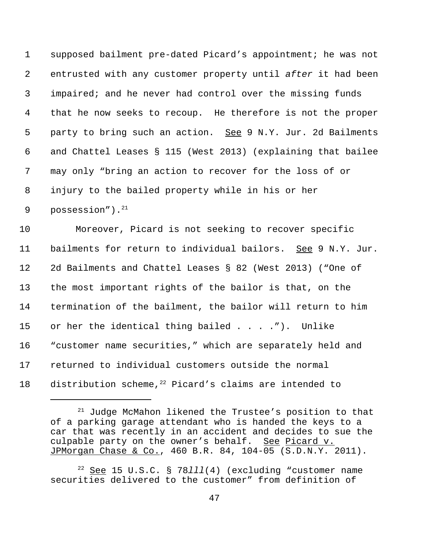supposed bailment pre-dated Picard's appointment; he was not entrusted with any customer property until *after* it had been impaired; and he never had control over the missing funds that he now seeks to recoup. He therefore is not the proper 5 party to bring such an action. See 9 N.Y. Jur. 2d Bailments and Chattel Leases § 115 (West 2013) (explaining that bailee may only "bring an action to recover for the loss of or injury to the bailed property while in his or her 9 possession").

 Moreover, Picard is not seeking to recover specific bailments for return to individual bailors. See 9 N.Y. Jur. 2d Bailments and Chattel Leases § 82 (West 2013) ("One of the most important rights of the bailor is that, on the termination of the bailment, the bailor will return to him or her the identical thing bailed . . . ."). Unlike "customer name securities," which are separately held and returned to individual customers outside the normal 18 distribution scheme, Picard's claims are intended to

 <sup>21</sup> Judge McMahon likened the Trustee's position to that of a parking garage attendant who is handed the keys to a car that was recently in an accident and decides to sue the culpable party on the owner's behalf. See Picard v. JPMorgan Chase & Co., 460 B.R. 84, 104-05 (S.D.N.Y. 2011).

 See 15 U.S.C. § 78*lll*(4) (excluding "customer name securities delivered to the customer" from definition of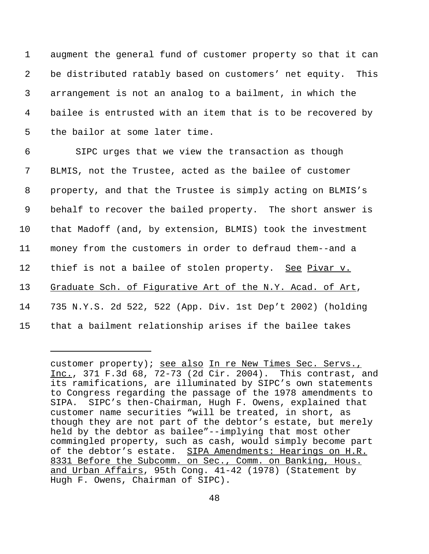augment the general fund of customer property so that it can be distributed ratably based on customers' net equity. This arrangement is not an analog to a bailment, in which the bailee is entrusted with an item that is to be recovered by the bailor at some later time.

 SIPC urges that we view the transaction as though BLMIS, not the Trustee, acted as the bailee of customer property, and that the Trustee is simply acting on BLMIS's behalf to recover the bailed property. The short answer is that Madoff (and, by extension, BLMIS) took the investment money from the customers in order to defraud them--and a 12 thief is not a bailee of stolen property. See Pivar v. 13 Graduate Sch. of Figurative Art of the N.Y. Acad. of Art, 735 N.Y.S. 2d 522, 522 (App. Div. 1st Dep't 2002) (holding that a bailment relationship arises if the bailee takes

customer property); see also In re New Times Sec. Servs., Inc., 371 F.3d 68, 72-73 (2d Cir. 2004). This contrast, and its ramifications, are illuminated by SIPC's own statements to Congress regarding the passage of the 1978 amendments to SIPA. SIPC's then-Chairman, Hugh F. Owens, explained that customer name securities "will be treated, in short, as though they are not part of the debtor's estate, but merely held by the debtor as bailee"--implying that most other commingled property, such as cash, would simply become part of the debtor's estate. SIPA Amendments: Hearings on H.R. 8331 Before the Subcomm. on Sec., Comm. on Banking, Hous. and Urban Affairs, 95th Cong. 41-42 (1978) (Statement by Hugh F. Owens, Chairman of SIPC).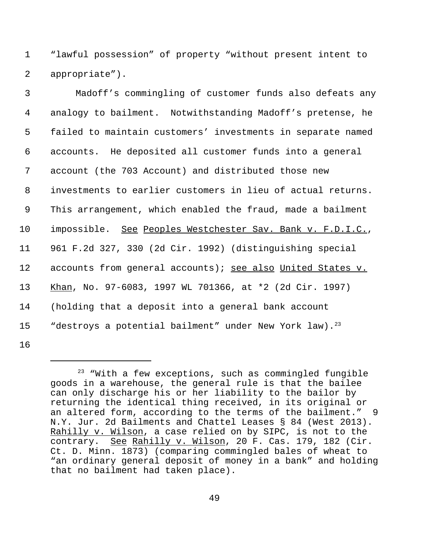1 "lawful possession" of property "without present intent to 2 appropriate").

 Madoff's commingling of customer funds also defeats any analogy to bailment. Notwithstanding Madoff's pretense, he failed to maintain customers' investments in separate named accounts. He deposited all customer funds into a general account (the 703 Account) and distributed those new investments to earlier customers in lieu of actual returns. This arrangement, which enabled the fraud, made a bailment impossible. See Peoples Westchester Sav. Bank v. F.D.I.C., 961 F.2d 327, 330 (2d Cir. 1992) (distinguishing special 12 accounts from general accounts); see also United States v. Khan, No. 97-6083, 1997 WL 701366, at \*2 (2d Cir. 1997) (holding that a deposit into a general bank account 15 "destroys a potential bailment" under New York law).<sup>23</sup>

<sup>&</sup>lt;sup>23</sup> "With a few exceptions, such as commingled fungible goods in a warehouse, the general rule is that the bailee can only discharge his or her liability to the bailor by returning the identical thing received, in its original or an altered form, according to the terms of the bailment." 9 N.Y. Jur. 2d Bailments and Chattel Leases § 84 (West 2013). Rahilly v. Wilson, a case relied on by SIPC, is not to the contrary. See Rahilly v. Wilson, 20 F. Cas. 179, 182 (Cir. Ct. D. Minn. 1873) (comparing commingled bales of wheat to "an ordinary general deposit of money in a bank" and holding that no bailment had taken place).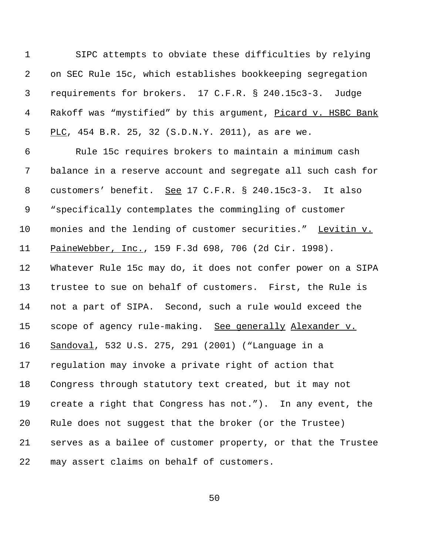SIPC attempts to obviate these difficulties by relying on SEC Rule 15c, which establishes bookkeeping segregation requirements for brokers. 17 C.F.R. § 240.15c3-3. Judge 4 Rakoff was "mystified" by this argument, Picard v. HSBC Bank PLC, 454 B.R. 25, 32 (S.D.N.Y. 2011), as are we. Rule 15c requires brokers to maintain a minimum cash balance in a reserve account and segregate all such cash for customers' benefit. See 17 C.F.R. § 240.15c3-3. It also "specifically contemplates the commingling of customer monies and the lending of customer securities." Levitin v. PaineWebber, Inc., 159 F.3d 698, 706 (2d Cir. 1998). Whatever Rule 15c may do, it does not confer power on a SIPA trustee to sue on behalf of customers. First, the Rule is not a part of SIPA. Second, such a rule would exceed the scope of agency rule-making. See generally Alexander v. Sandoval, 532 U.S. 275, 291 (2001) ("Language in a regulation may invoke a private right of action that Congress through statutory text created, but it may not create a right that Congress has not."). In any event, the Rule does not suggest that the broker (or the Trustee) serves as a bailee of customer property, or that the Trustee may assert claims on behalf of customers.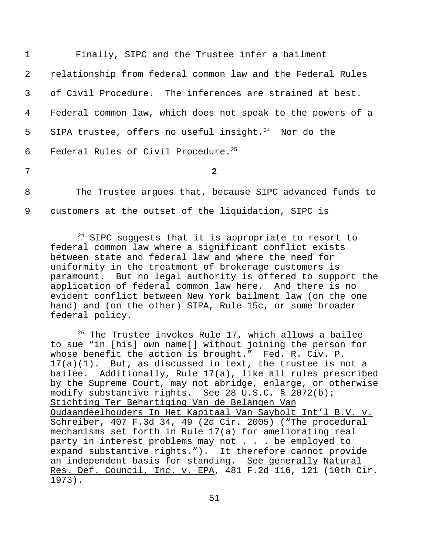| 1 | Finally, SIPC and the Trustee infer a bailment                     |
|---|--------------------------------------------------------------------|
|   | 2 relationship from federal common law and the Federal Rules       |
|   | 3 of Civil Procedure. The inferences are strained at best.         |
|   | 4 Federal common law, which does not speak to the powers of a      |
|   | 5 SIPA trustee, offers no useful insight. <sup>24</sup> Nor do the |
|   | 6 Federal Rules of Civil Procedure. <sup>25</sup>                  |
|   |                                                                    |

7 **2**

8 The Trustee argues that, because SIPC advanced funds to 9 customers at the outset of the liquidation, SIPC is

 $24$  SIPC suggests that it is appropriate to resort to federal common law where a significant conflict exists between state and federal law and where the need for uniformity in the treatment of brokerage customers is paramount. But no legal authority is offered to support the application of federal common law here. And there is no evident conflict between New York bailment law (on the one hand) and (on the other) SIPA, Rule 15c, or some broader federal policy.

 $25$  The Trustee invokes Rule 17, which allows a bailee to sue "in [his] own name[] without joining the person for whose benefit the action is brought." Fed. R. Civ. P.  $17(a)(1)$ . But, as discussed in text, the trustee is not a bailee. Additionally, Rule 17(a), like all rules prescribed by the Supreme Court, may not abridge, enlarge, or otherwise modify substantive rights. See 28 U.S.C. § 2072(b); Stichting Ter Behartiging Van de Belangen Van Oudaandeelhouders In Het Kapitaal Van Saybolt Int'l B.V. v. Schreiber, 407 F.3d 34, 49 (2d Cir. 2005) ("The procedural mechanisms set forth in Rule 17(a) for ameliorating real party in interest problems may not . . . be employed to expand substantive rights."). It therefore cannot provide an independent basis for standing. See generally Natural Res. Def. Council, Inc. v. EPA, 481 F.2d 116, 121 (10th Cir. 1973).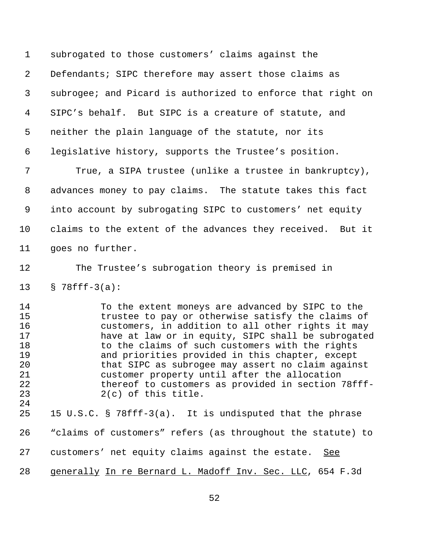subrogated to those customers' claims against the Defendants; SIPC therefore may assert those claims as subrogee; and Picard is authorized to enforce that right on SIPC's behalf. But SIPC is a creature of statute, and neither the plain language of the statute, nor its legislative history, supports the Trustee's position.

 True, a SIPA trustee (unlike a trustee in bankruptcy), advances money to pay claims. The statute takes this fact into account by subrogating SIPC to customers' net equity claims to the extent of the advances they received. But it goes no further.

The Trustee's subrogation theory is premised in

§ 78fff-3(a):

 To the extent moneys are advanced by SIPC to the trustee to pay or otherwise satisfy the claims of customers, in addition to all other rights it may have at law or in equity, SIPC shall be subrogated 18 to the claims of such customers with the rights and priorities provided in this chapter, except that SIPC as subrogee may assert no claim against customer property until after the allocation thereof to customers as provided in section 78fff-2(c) of this title.

 15 U.S.C. § 78fff-3(a). It is undisputed that the phrase "claims of customers" refers (as throughout the statute) to customers' net equity claims against the estate. See generally In re Bernard L. Madoff Inv. Sec. LLC, 654 F.3d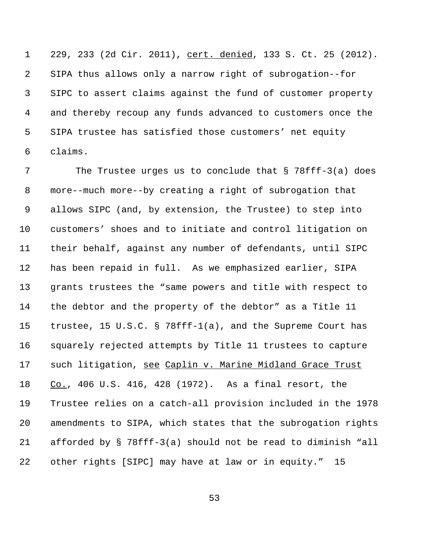229, 233 (2d Cir. 2011), cert. denied, 133 S. Ct. 25 (2012). SIPA thus allows only a narrow right of subrogation--for SIPC to assert claims against the fund of customer property and thereby recoup any funds advanced to customers once the SIPA trustee has satisfied those customers' net equity claims.

 The Trustee urges us to conclude that § 78fff-3(a) does more--much more--by creating a right of subrogation that allows SIPC (and, by extension, the Trustee) to step into customers' shoes and to initiate and control litigation on their behalf, against any number of defendants, until SIPC has been repaid in full. As we emphasized earlier, SIPA grants trustees the "same powers and title with respect to the debtor and the property of the debtor" as a Title 11 trustee, 15 U.S.C. § 78fff-1(a), and the Supreme Court has squarely rejected attempts by Title 11 trustees to capture 17 such litigation, see Caplin v. Marine Midland Grace Trust Co., 406 U.S. 416, 428 (1972). As a final resort, the Trustee relies on a catch-all provision included in the 1978 amendments to SIPA, which states that the subrogation rights afforded by § 78fff-3(a) should not be read to diminish "all other rights [SIPC] may have at law or in equity." 15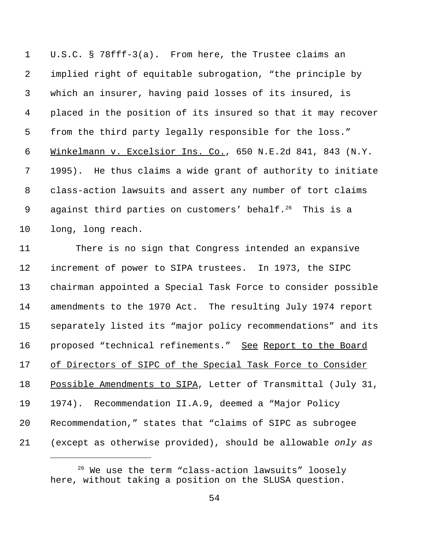U.S.C. § 78fff-3(a). From here, the Trustee claims an implied right of equitable subrogation, "the principle by which an insurer, having paid losses of its insured, is placed in the position of its insured so that it may recover from the third party legally responsible for the loss." Winkelmann v. Excelsior Ins. Co., 650 N.E.2d 841, 843 (N.Y. 1995). He thus claims a wide grant of authority to initiate class-action lawsuits and assert any number of tort claims 9 against third parties on customers' behalf.<sup>26</sup> This is a long, long reach.

 There is no sign that Congress intended an expansive increment of power to SIPA trustees. In 1973, the SIPC chairman appointed a Special Task Force to consider possible amendments to the 1970 Act. The resulting July 1974 report separately listed its "major policy recommendations" and its 16 proposed "technical refinements." See Report to the Board 17 of Directors of SIPC of the Special Task Force to Consider 18 Possible Amendments to SIPA, Letter of Transmittal (July 31, 1974). Recommendation II.A.9, deemed a "Major Policy Recommendation," states that "claims of SIPC as subrogee (except as otherwise provided), should be allowable *only as*

<sup>&</sup>lt;sup>26</sup> We use the term "class-action lawsuits" loosely here, without taking a position on the SLUSA question.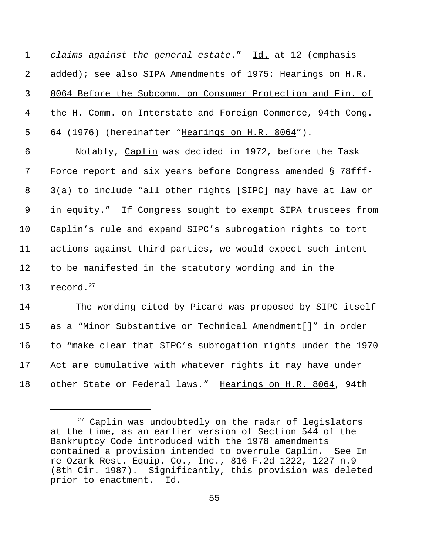1 *claims against the general estate*." Id. at 12 (emphasis 2 added); see also SIPA Amendments of 1975: Hearings on H.R. 3 8064 Before the Subcomm. on Consumer Protection and Fin. of 4 the H. Comm. on Interstate and Foreign Commerce, 94th Cong. 5 64 (1976) (hereinafter "Hearings on H.R. 8064").

6 Motably, Caplin was decided in 1972, before the Task Force report and six years before Congress amended § 78fff- 3(a) to include "all other rights [SIPC] may have at law or in equity." If Congress sought to exempt SIPA trustees from 10 Caplin's rule and expand SIPC's subrogation rights to tort actions against third parties, we would expect such intent to be manifested in the statutory wording and in the  $record.^{27}$ 

 The wording cited by Picard was proposed by SIPC itself as a "Minor Substantive or Technical Amendment[]" in order to "make clear that SIPC's subrogation rights under the 1970 Act are cumulative with whatever rights it may have under 18 other State or Federal laws." Hearings on H.R. 8064, 94th

 $27$  Caplin was undoubtedly on the radar of legislators at the time, as an earlier version of Section 544 of the Bankruptcy Code introduced with the 1978 amendments contained a provision intended to overrule Caplin. See In re Ozark Rest. Equip. Co., Inc., 816 F.2d 1222, 1227 n.9 (8th Cir. 1987). Significantly, this provision was deleted prior to enactment. Id.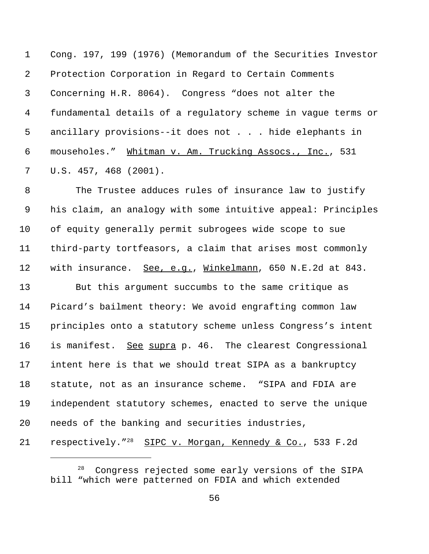Cong. 197, 199 (1976) (Memorandum of the Securities Investor Protection Corporation in Regard to Certain Comments Concerning H.R. 8064). Congress "does not alter the fundamental details of a regulatory scheme in vague terms or ancillary provisions--it does not . . . hide elephants in mouseholes." Whitman v. Am. Trucking Assocs., Inc., 531 U.S. 457, 468 (2001).

 The Trustee adduces rules of insurance law to justify his claim, an analogy with some intuitive appeal: Principles of equity generally permit subrogees wide scope to sue third-party tortfeasors, a claim that arises most commonly 12 with insurance. See, e.g., Winkelmann, 650 N.E.2d at 843. But this argument succumbs to the same critique as Picard's bailment theory: We avoid engrafting common law principles onto a statutory scheme unless Congress's intent 16 is manifest. See supra p. 46. The clearest Congressional intent here is that we should treat SIPA as a bankruptcy statute, not as an insurance scheme. "SIPA and FDIA are independent statutory schemes, enacted to serve the unique needs of the banking and securities industries,

21 respectively."<sup>28</sup> SIPC v. Morgan, Kennedy & Co., 533 F.2d

Congress rejected some early versions of the SIPA bill "which were patterned on FDIA and which extended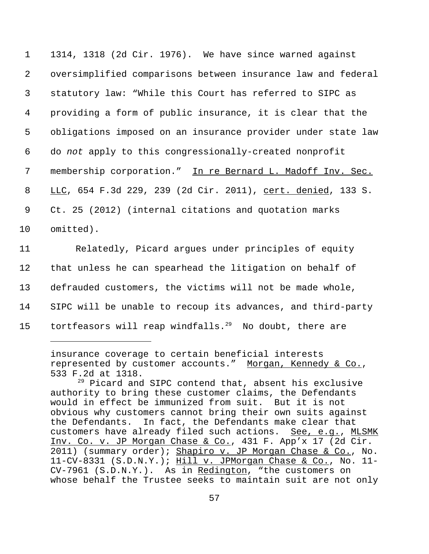1314, 1318 (2d Cir. 1976). We have since warned against oversimplified comparisons between insurance law and federal statutory law: "While this Court has referred to SIPC as providing a form of public insurance, it is clear that the obligations imposed on an insurance provider under state law do *not* apply to this congressionally-created nonprofit 7 membership corporation." In re Bernard L. Madoff Inv. Sec. 8 LLC, 654 F.3d 229, 239 (2d Cir. 2011), cert. denied, 133 S. Ct. 25 (2012) (internal citations and quotation marks omitted).

 Relatedly, Picard argues under principles of equity that unless he can spearhead the litigation on behalf of defrauded customers, the victims will not be made whole, SIPC will be unable to recoup its advances, and third-party 15 tortfeasors will reap windfalls.<sup>29</sup> No doubt, there are

insurance coverage to certain beneficial interests represented by customer accounts." Morgan, Kennedy  $\&$  Co., 533 F.2d at 1318.

<sup>&</sup>lt;sup>29</sup> Picard and SIPC contend that, absent his exclusive authority to bring these customer claims, the Defendants would in effect be immunized from suit. But it is not obvious why customers cannot bring their own suits against the Defendants. In fact, the Defendants make clear that customers have already filed such actions. See, e.g., MLSMK Inv. Co. v. JP Morgan Chase & Co., 431 F. App'x 17 (2d Cir. 2011) (summary order); Shapiro v. JP Morgan Chase & Co., No. 11-CV-8331 (S.D.N.Y.); Hill v. JPMorgan Chase & Co., No. 11- CV-7961 (S.D.N.Y.). As in Redington, "the customers on whose behalf the Trustee seeks to maintain suit are not only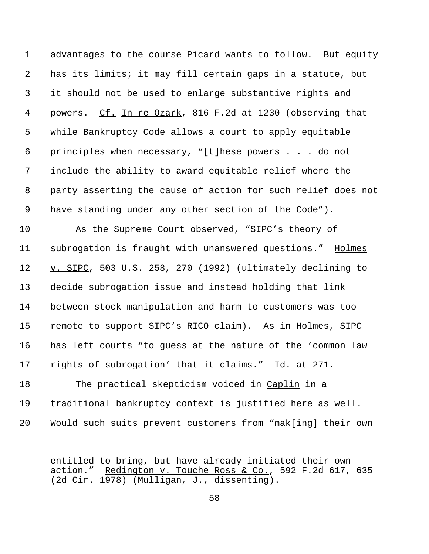advantages to the course Picard wants to follow. But equity has its limits; it may fill certain gaps in a statute, but it should not be used to enlarge substantive rights and powers. Cf. In re Ozark, 816 F.2d at 1230 (observing that while Bankruptcy Code allows a court to apply equitable principles when necessary, "[t]hese powers . . . do not include the ability to award equitable relief where the party asserting the cause of action for such relief does not have standing under any other section of the Code").

 As the Supreme Court observed, "SIPC's theory of subrogation is fraught with unanswered questions." Holmes v. SIPC, 503 U.S. 258, 270 (1992) (ultimately declining to decide subrogation issue and instead holding that link between stock manipulation and harm to customers was too 15 remote to support SIPC's RICO claim). As in Holmes, SIPC has left courts "to guess at the nature of the 'common law 17 rights of subrogation' that it claims." Id. at 271.

18 The practical skepticism voiced in Caplin in a traditional bankruptcy context is justified here as well. Would such suits prevent customers from "mak[ing] their own

entitled to bring, but have already initiated their own action." Redington v. Touche Ross & Co., 592 F.2d 617, 635 (2d Cir. 1978) (Mulligan,  $J.$ , dissenting).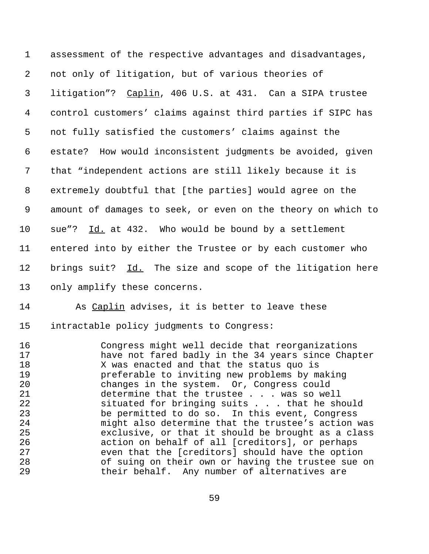assessment of the respective advantages and disadvantages, not only of litigation, but of various theories of litigation"? Caplin, 406 U.S. at 431. Can a SIPA trustee control customers' claims against third parties if SIPC has not fully satisfied the customers' claims against the estate? How would inconsistent judgments be avoided, given that "independent actions are still likely because it is extremely doubtful that [the parties] would agree on the amount of damages to seek, or even on the theory on which to sue"? Id. at 432. Who would be bound by a settlement entered into by either the Trustee or by each customer who 12 brings suit? Id. The size and scope of the litigation here only amplify these concerns.

14 As Caplin advises, it is better to leave these intractable policy judgments to Congress:

 Congress might well decide that reorganizations have not fared badly in the 34 years since Chapter X was enacted and that the status quo is preferable to inviting new problems by making changes in the system. Or, Congress could determine that the trustee . . . was so well situated for bringing suits . . . that he should be permitted to do so. In this event, Congress might also determine that the trustee's action was exclusive, or that it should be brought as a class action on behalf of all [creditors], or perhaps even that the [creditors] should have the option of suing on their own or having the trustee sue on 29 their behalf. Any number of alternatives are